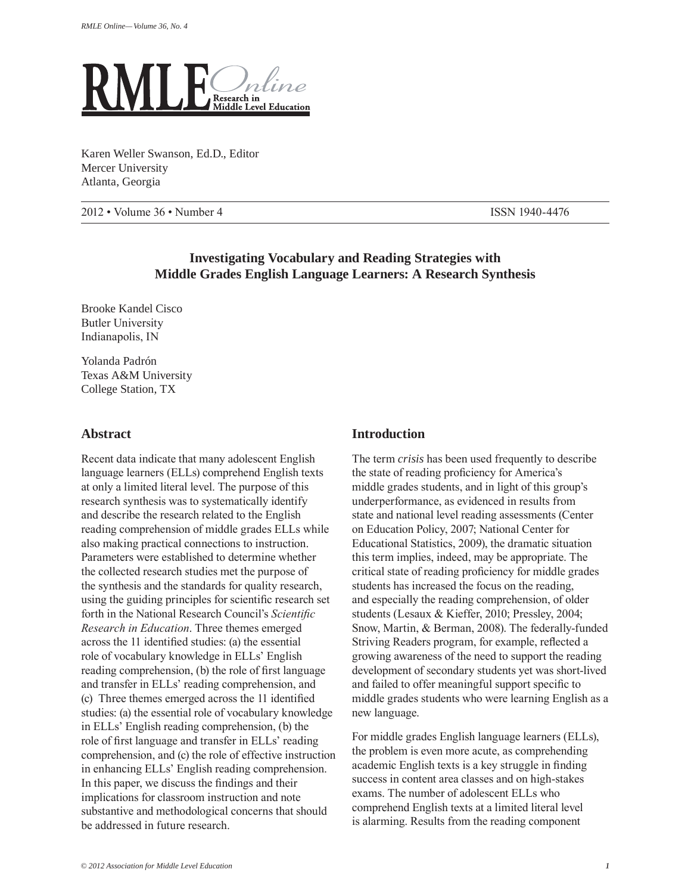

Karen Weller Swanson, Ed.D., Editor Mercer University Atlanta, Georgia

2012 • Volume 36 • Number 4 ISSN 1940-4476

## **Investigating Vocabulary and Reading Strategies with Middle Grades English Language Learners: A Research Synthesis**

Brooke Kandel Cisco Butler University Indianapolis, IN

Yolanda Padrón Texas A&M University College Station, TX

#### **Abstract**

Recent data indicate that many adolescent English language learners (ELLs) comprehend English texts at only a limited literal level. The purpose of this research synthesis was to systematically identify and describe the research related to the English reading comprehension of middle grades ELLs while also making practical connections to instruction. Parameters were established to determine whether the collected research studies met the purpose of the synthesis and the standards for quality research, using the guiding principles for scientific research set forth in the National Research Council's *Scientific Research in Education*. Three themes emerged across the 11 identified studies: (a) the essential role of vocabulary knowledge in ELLs' English reading comprehension, (b) the role of first language and transfer in ELLs' reading comprehension, and (c) Three themes emerged across the 11 identified studies: (a) the essential role of vocabulary knowledge in ELLs' English reading comprehension, (b) the role of first language and transfer in ELLs' reading comprehension, and (c) the role of effective instruction in enhancing ELLs' English reading comprehension. In this paper, we discuss the findings and their implications for classroom instruction and note substantive and methodological concerns that should be addressed in future research.

#### **Introduction**

The term *crisis* has been used frequently to describe the state of reading proficiency for America's middle grades students, and in light of this group's underperformance, as evidenced in results from state and national level reading assessments (Center on Education Policy, 2007; National Center for Educational Statistics, 2009), the dramatic situation this term implies, indeed, may be appropriate. The critical state of reading proficiency for middle grades students has increased the focus on the reading, and especially the reading comprehension, of older students (Lesaux & Kieffer, 2010; Pressley, 2004; Snow, Martin, & Berman, 2008). The federally-funded Striving Readers program, for example, reflected a growing awareness of the need to support the reading development of secondary students yet was short-lived and failed to offer meaningful support specific to middle grades students who were learning English as a new language.

For middle grades English language learners (ELLs), the problem is even more acute, as comprehending academic English texts is a key struggle in finding success in content area classes and on high-stakes exams. The number of adolescent ELLs who comprehend English texts at a limited literal level is alarming. Results from the reading component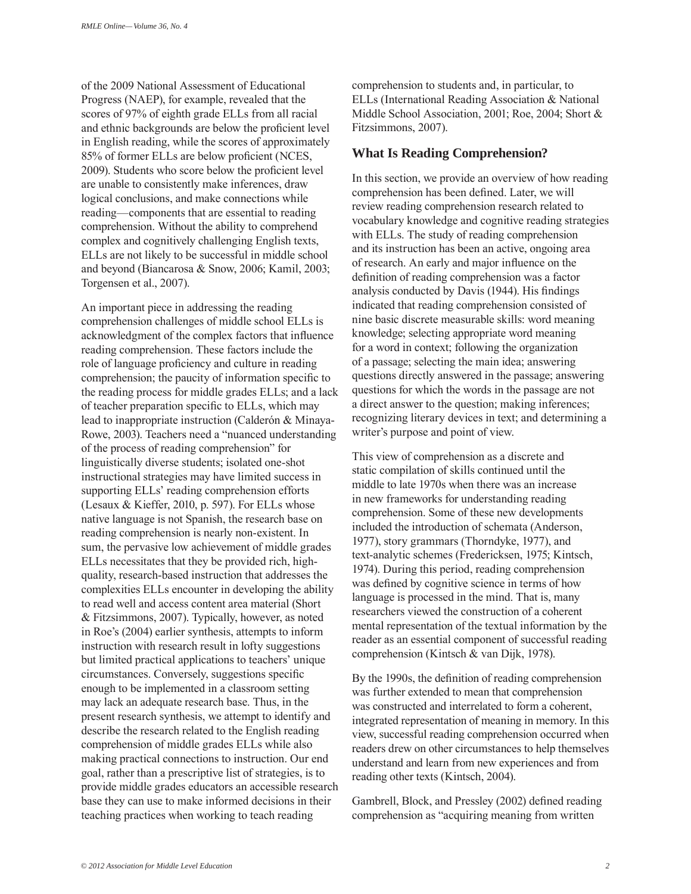of the 2009 National Assessment of Educational Progress (NAEP), for example, revealed that the scores of 97% of eighth grade ELLs from all racial and ethnic backgrounds are below the proficient level in English reading, while the scores of approximately 85% of former ELLs are below proficient (NCES, 2009). Students who score below the proficient level are unable to consistently make inferences, draw logical conclusions, and make connections while reading—components that are essential to reading comprehension. Without the ability to comprehend complex and cognitively challenging English texts, ELLs are not likely to be successful in middle school and beyond (Biancarosa & Snow, 2006; Kamil, 2003; Torgensen et al., 2007).

An important piece in addressing the reading comprehension challenges of middle school ELLs is acknowledgment of the complex factors that influence reading comprehension. These factors include the role of language proficiency and culture in reading comprehension; the paucity of information specific to the reading process for middle grades ELLs; and a lack of teacher preparation specific to ELLs, which may lead to inappropriate instruction (Calderón & Minaya-Rowe, 2003). Teachers need a "nuanced understanding of the process of reading comprehension" for linguistically diverse students; isolated one-shot instructional strategies may have limited success in supporting ELLs' reading comprehension efforts (Lesaux & Kieffer, 2010, p. 597). For ELLs whose native language is not Spanish, the research base on reading comprehension is nearly non-existent. In sum, the pervasive low achievement of middle grades ELLs necessitates that they be provided rich, highquality, research-based instruction that addresses the complexities ELLs encounter in developing the ability to read well and access content area material (Short & Fitzsimmons, 2007). Typically, however, as noted in Roe's (2004) earlier synthesis, attempts to inform instruction with research result in lofty suggestions but limited practical applications to teachers' unique circumstances. Conversely, suggestions specific enough to be implemented in a classroom setting may lack an adequate research base. Thus, in the present research synthesis, we attempt to identify and describe the research related to the English reading comprehension of middle grades ELLs while also making practical connections to instruction. Our end goal, rather than a prescriptive list of strategies, is to provide middle grades educators an accessible research base they can use to make informed decisions in their teaching practices when working to teach reading

comprehension to students and, in particular, to ELLs (International Reading Association & National Middle School Association, 2001; Roe, 2004; Short & Fitzsimmons, 2007).

#### **What Is Reading Comprehension?**

In this section, we provide an overview of how reading comprehension has been defined. Later, we will review reading comprehension research related to vocabulary knowledge and cognitive reading strategies with ELLs. The study of reading comprehension and its instruction has been an active, ongoing area of research. An early and major influence on the definition of reading comprehension was a factor analysis conducted by Davis (1944). His findings indicated that reading comprehension consisted of nine basic discrete measurable skills: word meaning knowledge; selecting appropriate word meaning for a word in context; following the organization of a passage; selecting the main idea; answering questions directly answered in the passage; answering questions for which the words in the passage are not a direct answer to the question; making inferences; recognizing literary devices in text; and determining a writer's purpose and point of view.

This view of comprehension as a discrete and static compilation of skills continued until the middle to late 1970s when there was an increase in new frameworks for understanding reading comprehension. Some of these new developments included the introduction of schemata (Anderson, 1977), story grammars (Thorndyke, 1977), and text-analytic schemes (Fredericksen, 1975; Kintsch, 1974). During this period, reading comprehension was defined by cognitive science in terms of how language is processed in the mind. That is, many researchers viewed the construction of a coherent mental representation of the textual information by the reader as an essential component of successful reading comprehension (Kintsch & van Dijk, 1978).

By the 1990s, the definition of reading comprehension was further extended to mean that comprehension was constructed and interrelated to form a coherent, integrated representation of meaning in memory. In this view, successful reading comprehension occurred when readers drew on other circumstances to help themselves understand and learn from new experiences and from reading other texts (Kintsch, 2004).

Gambrell, Block, and Pressley (2002) defined reading comprehension as "acquiring meaning from written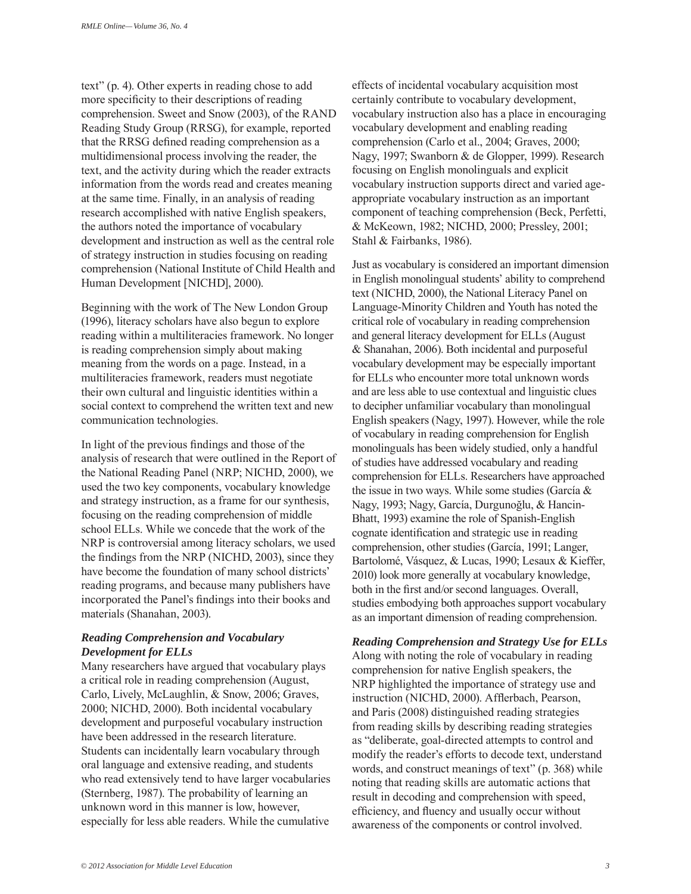text" (p. 4). Other experts in reading chose to add more specificity to their descriptions of reading comprehension. Sweet and Snow (2003), of the RAND Reading Study Group (RRSG), for example, reported that the RRSG defined reading comprehension as a multidimensional process involving the reader, the text, and the activity during which the reader extracts information from the words read and creates meaning at the same time. Finally, in an analysis of reading research accomplished with native English speakers, the authors noted the importance of vocabulary development and instruction as well as the central role of strategy instruction in studies focusing on reading comprehension (National Institute of Child Health and Human Development [NICHD], 2000).

Beginning with the work of The New London Group (1996), literacy scholars have also begun to explore reading within a multiliteracies framework. No longer is reading comprehension simply about making meaning from the words on a page. Instead, in a multiliteracies framework, readers must negotiate their own cultural and linguistic identities within a social context to comprehend the written text and new communication technologies.

In light of the previous findings and those of the analysis of research that were outlined in the Report of the National Reading Panel (NRP; NICHD, 2000), we used the two key components, vocabulary knowledge and strategy instruction, as a frame for our synthesis, focusing on the reading comprehension of middle school ELLs. While we concede that the work of the NRP is controversial among literacy scholars, we used the findings from the NRP (NICHD, 2003), since they have become the foundation of many school districts' reading programs, and because many publishers have incorporated the Panel's findings into their books and materials (Shanahan, 2003).

#### *Reading Comprehension and Vocabulary Development for ELLs*

Many researchers have argued that vocabulary plays a critical role in reading comprehension (August, Carlo, Lively, McLaughlin, & Snow, 2006; Graves, 2000; NICHD, 2000). Both incidental vocabulary development and purposeful vocabulary instruction have been addressed in the research literature. Students can incidentally learn vocabulary through oral language and extensive reading, and students who read extensively tend to have larger vocabularies (Sternberg, 1987). The probability of learning an unknown word in this manner is low, however, especially for less able readers. While the cumulative

effects of incidental vocabulary acquisition most certainly contribute to vocabulary development, vocabulary instruction also has a place in encouraging vocabulary development and enabling reading comprehension (Carlo et al., 2004; Graves, 2000; Nagy, 1997; Swanborn & de Glopper, 1999). Research focusing on English monolinguals and explicit vocabulary instruction supports direct and varied ageappropriate vocabulary instruction as an important component of teaching comprehension (Beck, Perfetti, & McKeown, 1982; NICHD, 2000; Pressley, 2001; Stahl & Fairbanks, 1986).

Just as vocabulary is considered an important dimension in English monolingual students' ability to comprehend text (NICHD, 2000), the National Literacy Panel on Language-Minority Children and Youth has noted the critical role of vocabulary in reading comprehension and general literacy development for ELLs (August & Shanahan, 2006). Both incidental and purposeful vocabulary development may be especially important for ELLs who encounter more total unknown words and are less able to use contextual and linguistic clues to decipher unfamiliar vocabulary than monolingual English speakers (Nagy, 1997). However, while the role of vocabulary in reading comprehension for English monolinguals has been widely studied, only a handful of studies have addressed vocabulary and reading comprehension for ELLs. Researchers have approached the issue in two ways. While some studies (García & Nagy, 1993; Nagy, García, Durgunoğlu, & Hancin-Bhatt, 1993) examine the role of Spanish-English cognate identification and strategic use in reading comprehension, other studies (García, 1991; Langer, Bartolomé, Vásquez, & Lucas, 1990; Lesaux & Kieffer, 2010) look more generally at vocabulary knowledge, both in the first and/or second languages. Overall, studies embodying both approaches support vocabulary as an important dimension of reading comprehension.

#### *Reading Comprehension and Strategy Use for ELLs*

Along with noting the role of vocabulary in reading comprehension for native English speakers, the NRP highlighted the importance of strategy use and instruction (NICHD, 2000). Afflerbach, Pearson, and Paris (2008) distinguished reading strategies from reading skills by describing reading strategies as "deliberate, goal-directed attempts to control and modify the reader's efforts to decode text, understand words, and construct meanings of text" (p. 368) while noting that reading skills are automatic actions that result in decoding and comprehension with speed, efficiency, and fluency and usually occur without awareness of the components or control involved.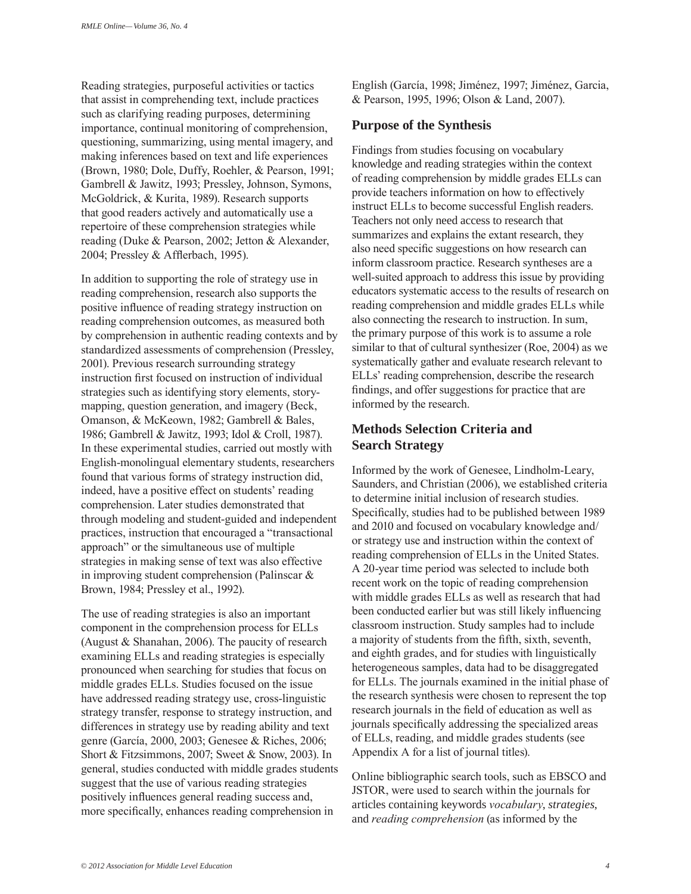Reading strategies, purposeful activities or tactics that assist in comprehending text, include practices such as clarifying reading purposes, determining importance, continual monitoring of comprehension, questioning, summarizing, using mental imagery, and making inferences based on text and life experiences (Brown, 1980; Dole, Duffy, Roehler, & Pearson, 1991; Gambrell & Jawitz, 1993; Pressley, Johnson, Symons, McGoldrick, & Kurita, 1989). Research supports that good readers actively and automatically use a repertoire of these comprehension strategies while reading (Duke & Pearson, 2002; Jetton & Alexander, 2004; Pressley & Afflerbach, 1995).

In addition to supporting the role of strategy use in reading comprehension, research also supports the positive influence of reading strategy instruction on reading comprehension outcomes, as measured both by comprehension in authentic reading contexts and by standardized assessments of comprehension (Pressley, 2001). Previous research surrounding strategy instruction first focused on instruction of individual strategies such as identifying story elements, storymapping, question generation, and imagery (Beck, Omanson, & McKeown, 1982; Gambrell & Bales, 1986; Gambrell & Jawitz, 1993; Idol & Croll, 1987). In these experimental studies, carried out mostly with English-monolingual elementary students, researchers found that various forms of strategy instruction did, indeed, have a positive effect on students' reading comprehension. Later studies demonstrated that through modeling and student-guided and independent practices, instruction that encouraged a "transactional approach" or the simultaneous use of multiple strategies in making sense of text was also effective in improving student comprehension (Palinscar & Brown, 1984; Pressley et al., 1992).

The use of reading strategies is also an important component in the comprehension process for ELLs (August & Shanahan, 2006). The paucity of research examining ELLs and reading strategies is especially pronounced when searching for studies that focus on middle grades ELLs. Studies focused on the issue have addressed reading strategy use, cross-linguistic strategy transfer, response to strategy instruction, and differences in strategy use by reading ability and text genre (García, 2000, 2003; Genesee & Riches, 2006; Short & Fitzsimmons, 2007; Sweet & Snow, 2003). In general, studies conducted with middle grades students suggest that the use of various reading strategies positively influences general reading success and, more specifically, enhances reading comprehension in

English (García, 1998; Jiménez, 1997; Jiménez, Garcia, & Pearson, 1995, 1996; Olson & Land, 2007).

#### **Purpose of the Synthesis**

Findings from studies focusing on vocabulary knowledge and reading strategies within the context of reading comprehension by middle grades ELLs can provide teachers information on how to effectively instruct ELLs to become successful English readers. Teachers not only need access to research that summarizes and explains the extant research, they also need specific suggestions on how research can inform classroom practice. Research syntheses are a well-suited approach to address this issue by providing educators systematic access to the results of research on reading comprehension and middle grades ELLs while also connecting the research to instruction. In sum, the primary purpose of this work is to assume a role similar to that of cultural synthesizer (Roe, 2004) as we systematically gather and evaluate research relevant to ELLs' reading comprehension, describe the research findings, and offer suggestions for practice that are informed by the research.

# **Methods Selection Criteria and Search Strategy**

Informed by the work of Genesee, Lindholm-Leary, Saunders, and Christian (2006), we established criteria to determine initial inclusion of research studies. Specifically, studies had to be published between 1989 and 2010 and focused on vocabulary knowledge and/ or strategy use and instruction within the context of reading comprehension of ELLs in the United States. A 20-year time period was selected to include both recent work on the topic of reading comprehension with middle grades ELLs as well as research that had been conducted earlier but was still likely influencing classroom instruction. Study samples had to include a majority of students from the fifth, sixth, seventh, and eighth grades, and for studies with linguistically heterogeneous samples, data had to be disaggregated for ELLs. The journals examined in the initial phase of the research synthesis were chosen to represent the top research journals in the field of education as well as journals specifically addressing the specialized areas of ELLs, reading, and middle grades students (see Appendix A for a list of journal titles).

Online bibliographic search tools, such as EBSCO and JSTOR, were used to search within the journals for articles containing keywords *vocabulary*, *strategies*, and *reading comprehension* (as informed by the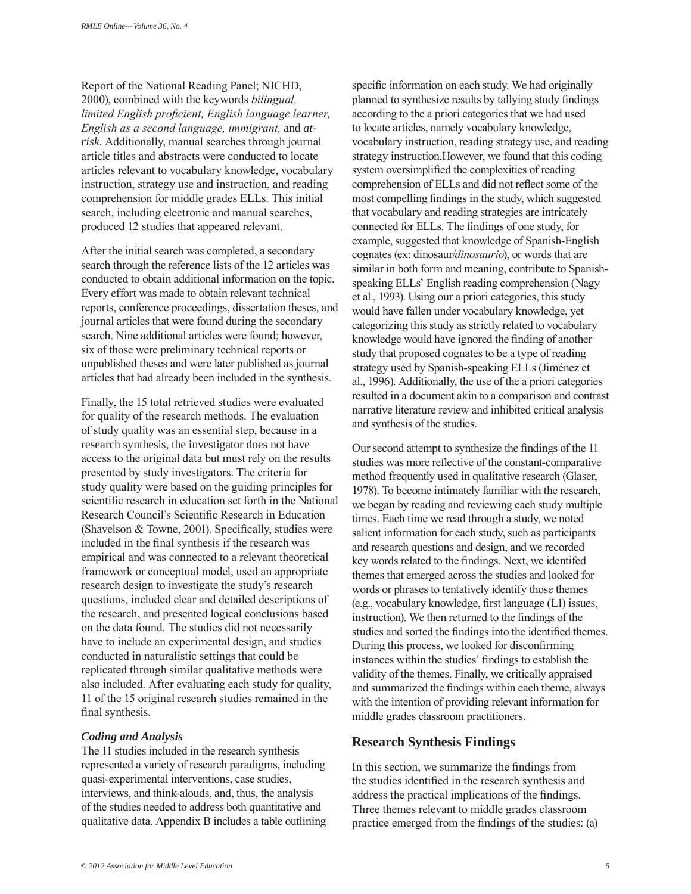Report of the National Reading Panel; NICHD, 2000), combined with the keywords *bilingual, limited English proficient, English language learner, English as a second language, immigrant,* and *atrisk*. Additionally, manual searches through journal article titles and abstracts were conducted to locate articles relevant to vocabulary knowledge, vocabulary instruction, strategy use and instruction, and reading comprehension for middle grades ELLs. This initial search, including electronic and manual searches, produced 12 studies that appeared relevant.

After the initial search was completed, a secondary search through the reference lists of the 12 articles was conducted to obtain additional information on the topic. Every effort was made to obtain relevant technical reports, conference proceedings, dissertation theses, and journal articles that were found during the secondary search. Nine additional articles were found; however, six of those were preliminary technical reports or unpublished theses and were later published as journal articles that had already been included in the synthesis.

Finally, the 15 total retrieved studies were evaluated for quality of the research methods. The evaluation of study quality was an essential step, because in a research synthesis, the investigator does not have access to the original data but must rely on the results presented by study investigators. The criteria for study quality were based on the guiding principles for scientific research in education set forth in the National Research Council's Scientific Research in Education (Shavelson & Towne, 2001). Specifically, studies were included in the final synthesis if the research was empirical and was connected to a relevant theoretical framework or conceptual model, used an appropriate research design to investigate the study's research questions, included clear and detailed descriptions of the research, and presented logical conclusions based on the data found. The studies did not necessarily have to include an experimental design, and studies conducted in naturalistic settings that could be replicated through similar qualitative methods were also included. After evaluating each study for quality, 11 of the 15 original research studies remained in the final synthesis.

#### *Coding and Analysis*

The 11 studies included in the research synthesis represented a variety of research paradigms, including quasi-experimental interventions, case studies, interviews, and think-alouds, and, thus, the analysis of the studies needed to address both quantitative and qualitative data. Appendix B includes a table outlining

specific information on each study. We had originally planned to synthesize results by tallying study findings according to the a priori categories that we had used to locate articles, namely vocabulary knowledge, vocabulary instruction, reading strategy use, and reading strategy instruction.However, we found that this coding system oversimplified the complexities of reading comprehension of ELLs and did not reflect some of the most compelling findings in the study, which suggested that vocabulary and reading strategies are intricately connected for ELLs. The findings of one study, for example, suggested that knowledge of Spanish-English cognates (ex: dinosaur/*dinosaurio*), or words that are similar in both form and meaning, contribute to Spanishspeaking ELLs' English reading comprehension (Nagy et al., 1993). Using our a priori categories, this study would have fallen under vocabulary knowledge, yet categorizing this study as strictly related to vocabulary knowledge would have ignored the finding of another study that proposed cognates to be a type of reading strategy used by Spanish-speaking ELLs (Jiménez et al., 1996). Additionally, the use of the a priori categories resulted in a document akin to a comparison and contrast narrative literature review and inhibited critical analysis and synthesis of the studies.

Our second attempt to synthesize the findings of the 11 studies was more reflective of the constant-comparative method frequently used in qualitative research (Glaser, 1978). To become intimately familiar with the research, we began by reading and reviewing each study multiple times. Each time we read through a study, we noted salient information for each study, such as participants and research questions and design, and we recorded key words related to the findings. Next, we identifed themes that emerged across the studies and looked for words or phrases to tentatively identify those themes (e.g., vocabulary knowledge, first language (L1) issues, instruction). We then returned to the findings of the studies and sorted the findings into the identified themes. During this process, we looked for disconfirming instances within the studies' findings to establish the validity of the themes. Finally, we critically appraised and summarized the findings within each theme, always with the intention of providing relevant information for middle grades classroom practitioners.

#### **Research Synthesis Findings**

In this section, we summarize the findings from the studies identified in the research synthesis and address the practical implications of the findings. Three themes relevant to middle grades classroom practice emerged from the findings of the studies: (a)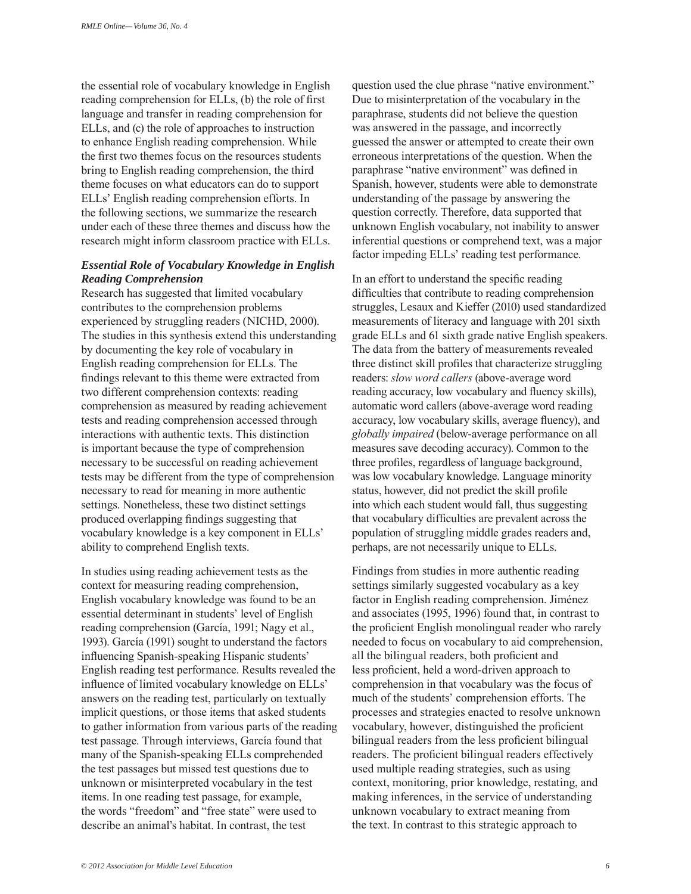the essential role of vocabulary knowledge in English reading comprehension for ELLs, (b) the role of first language and transfer in reading comprehension for ELLs, and (c) the role of approaches to instruction to enhance English reading comprehension. While the first two themes focus on the resources students bring to English reading comprehension, the third theme focuses on what educators can do to support ELLs' English reading comprehension efforts. In the following sections, we summarize the research under each of these three themes and discuss how the research might inform classroom practice with ELLs.

#### *Essential Role of Vocabulary Knowledge in English Reading Comprehension*

Research has suggested that limited vocabulary contributes to the comprehension problems experienced by struggling readers (NICHD, 2000). The studies in this synthesis extend this understanding by documenting the key role of vocabulary in English reading comprehension for ELLs. The findings relevant to this theme were extracted from two different comprehension contexts: reading comprehension as measured by reading achievement tests and reading comprehension accessed through interactions with authentic texts. This distinction is important because the type of comprehension necessary to be successful on reading achievement tests may be different from the type of comprehension necessary to read for meaning in more authentic settings. Nonetheless, these two distinct settings produced overlapping findings suggesting that vocabulary knowledge is a key component in ELLs' ability to comprehend English texts.

In studies using reading achievement tests as the context for measuring reading comprehension, English vocabulary knowledge was found to be an essential determinant in students' level of English reading comprehension (García, 1991; Nagy et al., 1993). García (1991) sought to understand the factors influencing Spanish-speaking Hispanic students' English reading test performance. Results revealed the influence of limited vocabulary knowledge on ELLs' answers on the reading test, particularly on textually implicit questions, or those items that asked students to gather information from various parts of the reading test passage. Through interviews, García found that many of the Spanish-speaking ELLs comprehended the test passages but missed test questions due to unknown or misinterpreted vocabulary in the test items. In one reading test passage, for example, the words "freedom" and "free state" were used to describe an animal's habitat. In contrast, the test

question used the clue phrase "native environment." Due to misinterpretation of the vocabulary in the paraphrase, students did not believe the question was answered in the passage, and incorrectly guessed the answer or attempted to create their own erroneous interpretations of the question. When the paraphrase "native environment" was defined in Spanish, however, students were able to demonstrate understanding of the passage by answering the question correctly. Therefore, data supported that unknown English vocabulary, not inability to answer inferential questions or comprehend text, was a major factor impeding ELLs' reading test performance.

In an effort to understand the specific reading difficulties that contribute to reading comprehension struggles, Lesaux and Kieffer (2010) used standardized measurements of literacy and language with 201 sixth grade ELLs and 61 sixth grade native English speakers. The data from the battery of measurements revealed three distinct skill profiles that characterize struggling readers: *slow word callers* (above-average word reading accuracy, low vocabulary and fluency skills), automatic word callers (above-average word reading accuracy, low vocabulary skills, average fluency), and *globally impaired* (below-average performance on all measures save decoding accuracy). Common to the three profiles, regardless of language background, was low vocabulary knowledge. Language minority status, however, did not predict the skill profile into which each student would fall, thus suggesting that vocabulary difficulties are prevalent across the population of struggling middle grades readers and, perhaps, are not necessarily unique to ELLs.

Findings from studies in more authentic reading settings similarly suggested vocabulary as a key factor in English reading comprehension. Jiménez and associates (1995, 1996) found that, in contrast to the proficient English monolingual reader who rarely needed to focus on vocabulary to aid comprehension, all the bilingual readers, both proficient and less proficient, held a word-driven approach to comprehension in that vocabulary was the focus of much of the students' comprehension efforts. The processes and strategies enacted to resolve unknown vocabulary, however, distinguished the proficient bilingual readers from the less proficient bilingual readers. The proficient bilingual readers effectively used multiple reading strategies, such as using context, monitoring, prior knowledge, restating, and making inferences, in the service of understanding unknown vocabulary to extract meaning from the text. In contrast to this strategic approach to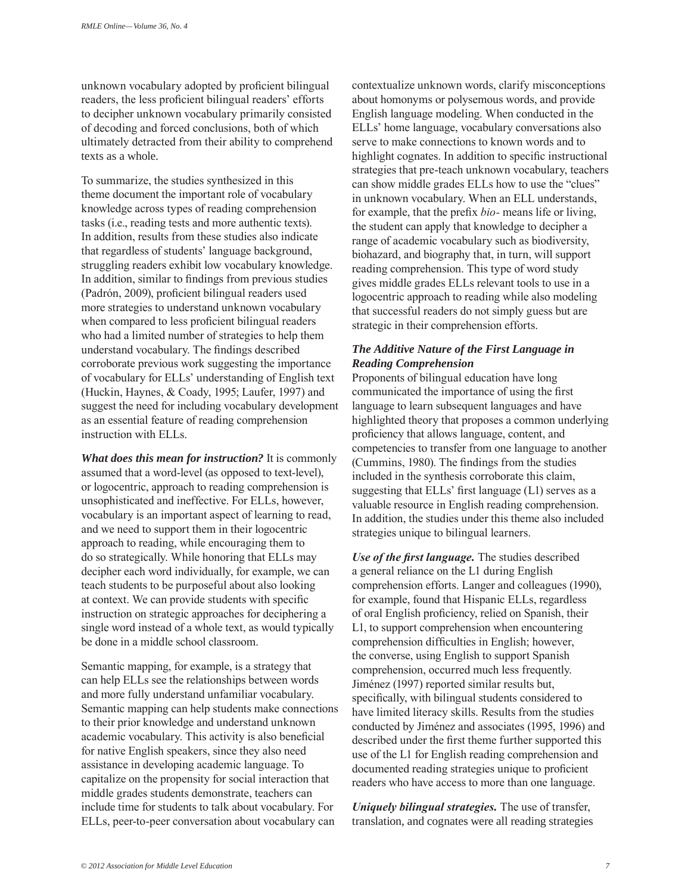unknown vocabulary adopted by proficient bilingual readers, the less proficient bilingual readers' efforts to decipher unknown vocabulary primarily consisted of decoding and forced conclusions, both of which ultimately detracted from their ability to comprehend texts as a whole.

To summarize, the studies synthesized in this theme document the important role of vocabulary knowledge across types of reading comprehension tasks (i.e., reading tests and more authentic texts). In addition, results from these studies also indicate that regardless of students' language background, struggling readers exhibit low vocabulary knowledge. In addition, similar to findings from previous studies (Padrón, 2009), proficient bilingual readers used more strategies to understand unknown vocabulary when compared to less proficient bilingual readers who had a limited number of strategies to help them understand vocabulary. The findings described corroborate previous work suggesting the importance of vocabulary for ELLs' understanding of English text (Huckin, Haynes, & Coady, 1995; Laufer, 1997) and suggest the need for including vocabulary development as an essential feature of reading comprehension instruction with ELLs.

*What does this mean for instruction?* It is commonly assumed that a word-level (as opposed to text-level), or logocentric, approach to reading comprehension is unsophisticated and ineffective. For ELLs, however, vocabulary is an important aspect of learning to read, and we need to support them in their logocentric approach to reading, while encouraging them to do so strategically. While honoring that ELLs may decipher each word individually, for example, we can teach students to be purposeful about also looking at context. We can provide students with specific instruction on strategic approaches for deciphering a single word instead of a whole text, as would typically be done in a middle school classroom.

Semantic mapping, for example, is a strategy that can help ELLs see the relationships between words and more fully understand unfamiliar vocabulary. Semantic mapping can help students make connections to their prior knowledge and understand unknown academic vocabulary. This activity is also beneficial for native English speakers, since they also need assistance in developing academic language. To capitalize on the propensity for social interaction that middle grades students demonstrate, teachers can include time for students to talk about vocabulary. For ELLs, peer-to-peer conversation about vocabulary can

contextualize unknown words, clarify misconceptions about homonyms or polysemous words, and provide English language modeling. When conducted in the ELLs' home language, vocabulary conversations also serve to make connections to known words and to highlight cognates. In addition to specific instructional strategies that pre-teach unknown vocabulary, teachers can show middle grades ELLs how to use the "clues" in unknown vocabulary. When an ELL understands, for example, that the prefix *bio-* means life or living, the student can apply that knowledge to decipher a range of academic vocabulary such as biodiversity, biohazard, and biography that, in turn, will support reading comprehension. This type of word study gives middle grades ELLs relevant tools to use in a logocentric approach to reading while also modeling that successful readers do not simply guess but are strategic in their comprehension efforts.

#### *The Additive Nature of the First Language in Reading Comprehension*

Proponents of bilingual education have long communicated the importance of using the first language to learn subsequent languages and have highlighted theory that proposes a common underlying proficiency that allows language, content, and competencies to transfer from one language to another (Cummins, 1980). The findings from the studies included in the synthesis corroborate this claim, suggesting that ELLs' first language (L1) serves as a valuable resource in English reading comprehension. In addition, the studies under this theme also included strategies unique to bilingual learners.

*Use of the first language.* The studies described a general reliance on the L1 during English comprehension efforts. Langer and colleagues (1990), for example, found that Hispanic ELLs, regardless of oral English proficiency, relied on Spanish, their L1, to support comprehension when encountering comprehension difficulties in English; however, the converse, using English to support Spanish comprehension, occurred much less frequently. Jiménez (1997) reported similar results but, specifically, with bilingual students considered to have limited literacy skills. Results from the studies conducted by Jiménez and associates (1995, 1996) and described under the first theme further supported this use of the L1 for English reading comprehension and documented reading strategies unique to proficient readers who have access to more than one language.

*Uniquely bilingual strategies.* The use of transfer, translation, and cognates were all reading strategies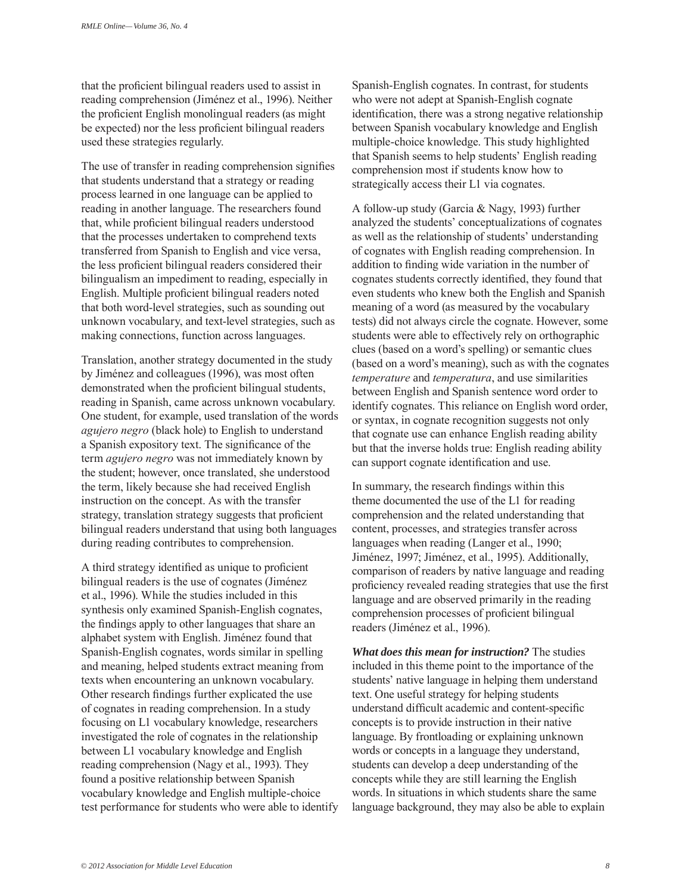that the proficient bilingual readers used to assist in reading comprehension (Jiménez et al., 1996). Neither the proficient English monolingual readers (as might be expected) nor the less proficient bilingual readers used these strategies regularly.

The use of transfer in reading comprehension signifies that students understand that a strategy or reading process learned in one language can be applied to reading in another language. The researchers found that, while proficient bilingual readers understood that the processes undertaken to comprehend texts transferred from Spanish to English and vice versa, the less proficient bilingual readers considered their bilingualism an impediment to reading, especially in English. Multiple proficient bilingual readers noted that both word-level strategies, such as sounding out unknown vocabulary, and text-level strategies, such as making connections, function across languages.

Translation, another strategy documented in the study by Jiménez and colleagues (1996), was most often demonstrated when the proficient bilingual students, reading in Spanish, came across unknown vocabulary. One student, for example, used translation of the words *agujero negro* (black hole) to English to understand a Spanish expository text. The significance of the term *agujero negro* was not immediately known by the student; however, once translated, she understood the term, likely because she had received English instruction on the concept. As with the transfer strategy, translation strategy suggests that proficient bilingual readers understand that using both languages during reading contributes to comprehension.

A third strategy identified as unique to proficient bilingual readers is the use of cognates (Jiménez et al., 1996). While the studies included in this synthesis only examined Spanish-English cognates, the findings apply to other languages that share an alphabet system with English. Jiménez found that Spanish-English cognates, words similar in spelling and meaning, helped students extract meaning from texts when encountering an unknown vocabulary. Other research findings further explicated the use of cognates in reading comprehension. In a study focusing on L1 vocabulary knowledge, researchers investigated the role of cognates in the relationship between L1 vocabulary knowledge and English reading comprehension (Nagy et al., 1993). They found a positive relationship between Spanish vocabulary knowledge and English multiple-choice test performance for students who were able to identify

Spanish-English cognates. In contrast, for students who were not adept at Spanish-English cognate identification, there was a strong negative relationship between Spanish vocabulary knowledge and English multiple-choice knowledge. This study highlighted that Spanish seems to help students' English reading comprehension most if students know how to strategically access their L1 via cognates.

A follow-up study (Garcia & Nagy, 1993) further analyzed the students' conceptualizations of cognates as well as the relationship of students' understanding of cognates with English reading comprehension. In addition to finding wide variation in the number of cognates students correctly identified, they found that even students who knew both the English and Spanish meaning of a word (as measured by the vocabulary tests) did not always circle the cognate. However, some students were able to effectively rely on orthographic clues (based on a word's spelling) or semantic clues (based on a word's meaning), such as with the cognates *temperature* and *temperatura*, and use similarities between English and Spanish sentence word order to identify cognates. This reliance on English word order, or syntax, in cognate recognition suggests not only that cognate use can enhance English reading ability but that the inverse holds true: English reading ability can support cognate identification and use.

In summary, the research findings within this theme documented the use of the L1 for reading comprehension and the related understanding that content, processes, and strategies transfer across languages when reading (Langer et al., 1990; Jiménez, 1997; Jiménez, et al., 1995). Additionally, comparison of readers by native language and reading proficiency revealed reading strategies that use the first language and are observed primarily in the reading comprehension processes of proficient bilingual readers (Jiménez et al., 1996).

*What does this mean for instruction?* The studies included in this theme point to the importance of the students' native language in helping them understand text. One useful strategy for helping students understand difficult academic and content-specific concepts is to provide instruction in their native language. By frontloading or explaining unknown words or concepts in a language they understand, students can develop a deep understanding of the concepts while they are still learning the English words. In situations in which students share the same language background, they may also be able to explain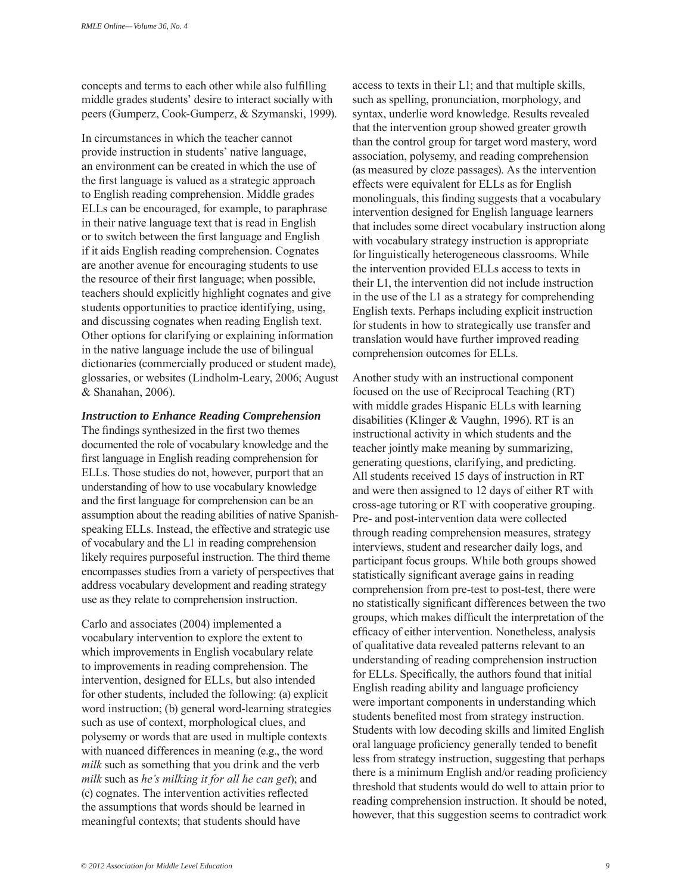concepts and terms to each other while also fulfilling middle grades students' desire to interact socially with peers (Gumperz, Cook-Gumperz, & Szymanski, 1999).

In circumstances in which the teacher cannot provide instruction in students' native language, an environment can be created in which the use of the first language is valued as a strategic approach to English reading comprehension. Middle grades ELLs can be encouraged, for example, to paraphrase in their native language text that is read in English or to switch between the first language and English if it aids English reading comprehension. Cognates are another avenue for encouraging students to use the resource of their first language; when possible, teachers should explicitly highlight cognates and give students opportunities to practice identifying, using, and discussing cognates when reading English text. Other options for clarifying or explaining information in the native language include the use of bilingual dictionaries (commercially produced or student made), glossaries, or websites (Lindholm-Leary, 2006; August & Shanahan, 2006).

#### *Instruction to Enhance Reading Comprehension*

The findings synthesized in the first two themes documented the role of vocabulary knowledge and the first language in English reading comprehension for ELLs. Those studies do not, however, purport that an understanding of how to use vocabulary knowledge and the first language for comprehension can be an assumption about the reading abilities of native Spanishspeaking ELLs. Instead, the effective and strategic use of vocabulary and the L1 in reading comprehension likely requires purposeful instruction. The third theme encompasses studies from a variety of perspectives that address vocabulary development and reading strategy use as they relate to comprehension instruction.

Carlo and associates (2004) implemented a vocabulary intervention to explore the extent to which improvements in English vocabulary relate to improvements in reading comprehension. The intervention, designed for ELLs, but also intended for other students, included the following: (a) explicit word instruction; (b) general word-learning strategies such as use of context, morphological clues, and polysemy or words that are used in multiple contexts with nuanced differences in meaning (e.g., the word *milk* such as something that you drink and the verb *milk* such as *he's milking it for all he can get*); and (c) cognates. The intervention activities reflected the assumptions that words should be learned in meaningful contexts; that students should have

access to texts in their L1; and that multiple skills, such as spelling, pronunciation, morphology, and syntax, underlie word knowledge. Results revealed that the intervention group showed greater growth than the control group for target word mastery, word association, polysemy, and reading comprehension (as measured by cloze passages). As the intervention effects were equivalent for ELLs as for English monolinguals, this finding suggests that a vocabulary intervention designed for English language learners that includes some direct vocabulary instruction along with vocabulary strategy instruction is appropriate for linguistically heterogeneous classrooms. While the intervention provided ELLs access to texts in their L1, the intervention did not include instruction in the use of the L1 as a strategy for comprehending English texts. Perhaps including explicit instruction for students in how to strategically use transfer and translation would have further improved reading comprehension outcomes for ELLs.

Another study with an instructional component focused on the use of Reciprocal Teaching (RT) with middle grades Hispanic ELLs with learning disabilities (Klinger & Vaughn, 1996). RT is an instructional activity in which students and the teacher jointly make meaning by summarizing, generating questions, clarifying, and predicting. All students received 15 days of instruction in RT and were then assigned to 12 days of either RT with cross-age tutoring or RT with cooperative grouping. Pre- and post-intervention data were collected through reading comprehension measures, strategy interviews, student and researcher daily logs, and participant focus groups. While both groups showed statistically significant average gains in reading comprehension from pre-test to post-test, there were no statistically significant differences between the two groups, which makes difficult the interpretation of the efficacy of either intervention. Nonetheless, analysis of qualitative data revealed patterns relevant to an understanding of reading comprehension instruction for ELLs. Specifically, the authors found that initial English reading ability and language proficiency were important components in understanding which students benefited most from strategy instruction. Students with low decoding skills and limited English oral language proficiency generally tended to benefit less from strategy instruction, suggesting that perhaps there is a minimum English and/or reading proficiency threshold that students would do well to attain prior to reading comprehension instruction. It should be noted, however, that this suggestion seems to contradict work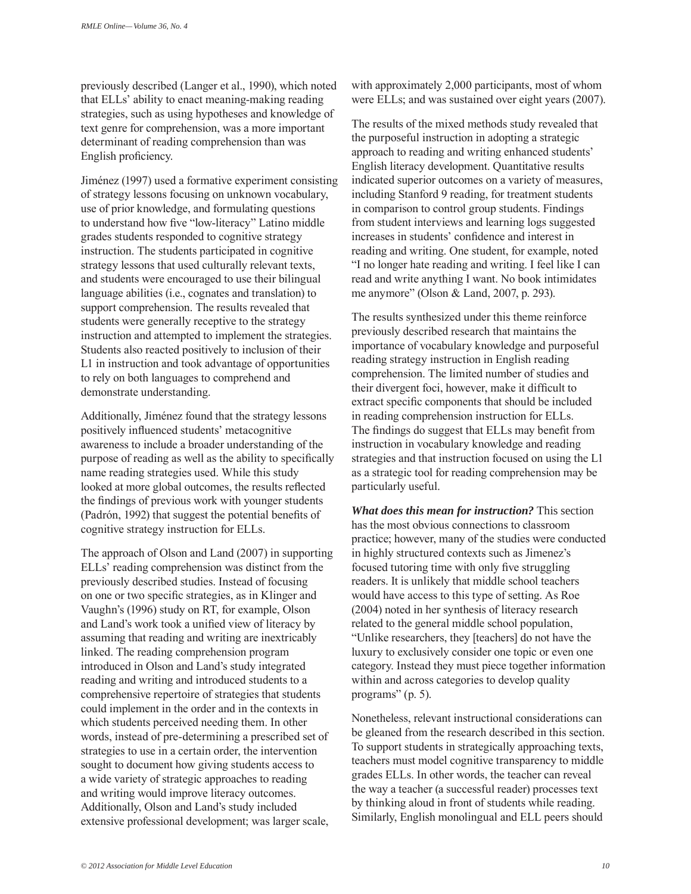previously described (Langer et al., 1990), which noted that ELLs' ability to enact meaning-making reading strategies, such as using hypotheses and knowledge of text genre for comprehension, was a more important determinant of reading comprehension than was English proficiency.

Jiménez (1997) used a formative experiment consisting of strategy lessons focusing on unknown vocabulary, use of prior knowledge, and formulating questions to understand how five "low-literacy" Latino middle grades students responded to cognitive strategy instruction. The students participated in cognitive strategy lessons that used culturally relevant texts, and students were encouraged to use their bilingual language abilities (i.e., cognates and translation) to support comprehension. The results revealed that students were generally receptive to the strategy instruction and attempted to implement the strategies. Students also reacted positively to inclusion of their L1 in instruction and took advantage of opportunities to rely on both languages to comprehend and demonstrate understanding.

Additionally, Jiménez found that the strategy lessons positively influenced students' metacognitive awareness to include a broader understanding of the purpose of reading as well as the ability to specifically name reading strategies used. While this study looked at more global outcomes, the results reflected the findings of previous work with younger students (Padrón, 1992) that suggest the potential benefits of cognitive strategy instruction for ELLs.

The approach of Olson and Land (2007) in supporting ELLs' reading comprehension was distinct from the previously described studies. Instead of focusing on one or two specific strategies, as in Klinger and Vaughn's (1996) study on RT, for example, Olson and Land's work took a unified view of literacy by assuming that reading and writing are inextricably linked. The reading comprehension program introduced in Olson and Land's study integrated reading and writing and introduced students to a comprehensive repertoire of strategies that students could implement in the order and in the contexts in which students perceived needing them. In other words, instead of pre-determining a prescribed set of strategies to use in a certain order, the intervention sought to document how giving students access to a wide variety of strategic approaches to reading and writing would improve literacy outcomes. Additionally, Olson and Land's study included extensive professional development; was larger scale,

with approximately 2,000 participants, most of whom were ELLs; and was sustained over eight years (2007).

The results of the mixed methods study revealed that the purposeful instruction in adopting a strategic approach to reading and writing enhanced students' English literacy development. Quantitative results indicated superior outcomes on a variety of measures, including Stanford 9 reading, for treatment students in comparison to control group students. Findings from student interviews and learning logs suggested increases in students' confidence and interest in reading and writing. One student, for example, noted "I no longer hate reading and writing. I feel like I can read and write anything I want. No book intimidates me anymore" (Olson & Land, 2007, p. 293).

The results synthesized under this theme reinforce previously described research that maintains the importance of vocabulary knowledge and purposeful reading strategy instruction in English reading comprehension. The limited number of studies and their divergent foci, however, make it difficult to extract specific components that should be included in reading comprehension instruction for ELLs. The findings do suggest that ELLs may benefit from instruction in vocabulary knowledge and reading strategies and that instruction focused on using the L1 as a strategic tool for reading comprehension may be particularly useful.

*What does this mean for instruction?* This section has the most obvious connections to classroom practice; however, many of the studies were conducted in highly structured contexts such as Jimenez's focused tutoring time with only five struggling readers. It is unlikely that middle school teachers would have access to this type of setting. As Roe (2004) noted in her synthesis of literacy research related to the general middle school population, "Unlike researchers, they [teachers] do not have the luxury to exclusively consider one topic or even one category. Instead they must piece together information within and across categories to develop quality programs" (p. 5).

Nonetheless, relevant instructional considerations can be gleaned from the research described in this section. To support students in strategically approaching texts, teachers must model cognitive transparency to middle grades ELLs. In other words, the teacher can reveal the way a teacher (a successful reader) processes text by thinking aloud in front of students while reading. Similarly, English monolingual and ELL peers should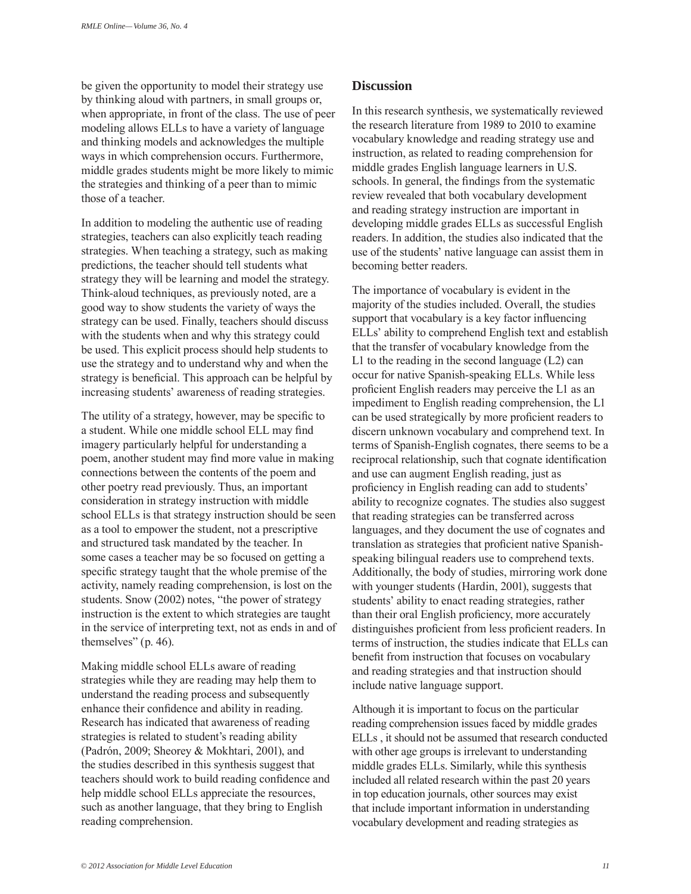be given the opportunity to model their strategy use by thinking aloud with partners, in small groups or, when appropriate, in front of the class. The use of peer modeling allows ELLs to have a variety of language and thinking models and acknowledges the multiple ways in which comprehension occurs. Furthermore, middle grades students might be more likely to mimic the strategies and thinking of a peer than to mimic those of a teacher.

In addition to modeling the authentic use of reading strategies, teachers can also explicitly teach reading strategies. When teaching a strategy, such as making predictions, the teacher should tell students what strategy they will be learning and model the strategy. Think-aloud techniques, as previously noted, are a good way to show students the variety of ways the strategy can be used. Finally, teachers should discuss with the students when and why this strategy could be used. This explicit process should help students to use the strategy and to understand why and when the strategy is beneficial. This approach can be helpful by increasing students' awareness of reading strategies.

The utility of a strategy, however, may be specific to a student. While one middle school ELL may find imagery particularly helpful for understanding a poem, another student may find more value in making connections between the contents of the poem and other poetry read previously. Thus, an important consideration in strategy instruction with middle school ELLs is that strategy instruction should be seen as a tool to empower the student, not a prescriptive and structured task mandated by the teacher. In some cases a teacher may be so focused on getting a specific strategy taught that the whole premise of the activity, namely reading comprehension, is lost on the students. Snow (2002) notes, "the power of strategy instruction is the extent to which strategies are taught in the service of interpreting text, not as ends in and of themselves" (p. 46).

Making middle school ELLs aware of reading strategies while they are reading may help them to understand the reading process and subsequently enhance their confidence and ability in reading. Research has indicated that awareness of reading strategies is related to student's reading ability (Padrón, 2009; Sheorey & Mokhtari, 2001), and the studies described in this synthesis suggest that teachers should work to build reading confidence and help middle school ELLs appreciate the resources, such as another language, that they bring to English reading comprehension.

#### **Discussion**

In this research synthesis, we systematically reviewed the research literature from 1989 to 2010 to examine vocabulary knowledge and reading strategy use and instruction, as related to reading comprehension for middle grades English language learners in U.S. schools. In general, the findings from the systematic review revealed that both vocabulary development and reading strategy instruction are important in developing middle grades ELLs as successful English readers. In addition, the studies also indicated that the use of the students' native language can assist them in becoming better readers.

The importance of vocabulary is evident in the majority of the studies included. Overall, the studies support that vocabulary is a key factor influencing ELLs' ability to comprehend English text and establish that the transfer of vocabulary knowledge from the L1 to the reading in the second language (L2) can occur for native Spanish-speaking ELLs. While less proficient English readers may perceive the L1 as an impediment to English reading comprehension, the L1 can be used strategically by more proficient readers to discern unknown vocabulary and comprehend text. In terms of Spanish-English cognates, there seems to be a reciprocal relationship, such that cognate identification and use can augment English reading, just as proficiency in English reading can add to students' ability to recognize cognates. The studies also suggest that reading strategies can be transferred across languages, and they document the use of cognates and translation as strategies that proficient native Spanishspeaking bilingual readers use to comprehend texts. Additionally, the body of studies, mirroring work done with younger students (Hardin, 2001), suggests that students' ability to enact reading strategies, rather than their oral English proficiency, more accurately distinguishes proficient from less proficient readers. In terms of instruction, the studies indicate that ELLs can benefit from instruction that focuses on vocabulary and reading strategies and that instruction should include native language support.

Although it is important to focus on the particular reading comprehension issues faced by middle grades ELLs , it should not be assumed that research conducted with other age groups is irrelevant to understanding middle grades ELLs. Similarly, while this synthesis included all related research within the past 20 years in top education journals, other sources may exist that include important information in understanding vocabulary development and reading strategies as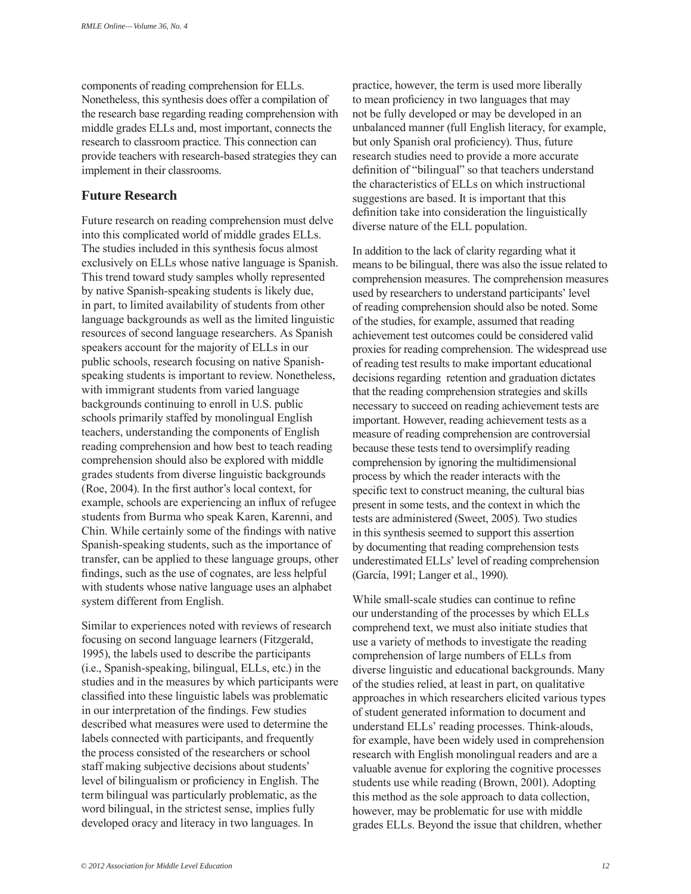components of reading comprehension for ELLs. Nonetheless, this synthesis does offer a compilation of the research base regarding reading comprehension with middle grades ELLs and, most important, connects the research to classroom practice. This connection can provide teachers with research-based strategies they can implement in their classrooms.

## **Future Research**

Future research on reading comprehension must delve into this complicated world of middle grades ELLs. The studies included in this synthesis focus almost exclusively on ELLs whose native language is Spanish. This trend toward study samples wholly represented by native Spanish-speaking students is likely due, in part, to limited availability of students from other language backgrounds as well as the limited linguistic resources of second language researchers. As Spanish speakers account for the majority of ELLs in our public schools, research focusing on native Spanishspeaking students is important to review. Nonetheless, with immigrant students from varied language backgrounds continuing to enroll in U.S. public schools primarily staffed by monolingual English teachers, understanding the components of English reading comprehension and how best to teach reading comprehension should also be explored with middle grades students from diverse linguistic backgrounds (Roe, 2004). In the first author's local context, for example, schools are experiencing an influx of refugee students from Burma who speak Karen, Karenni, and Chin. While certainly some of the findings with native Spanish-speaking students, such as the importance of transfer, can be applied to these language groups, other findings, such as the use of cognates, are less helpful with students whose native language uses an alphabet system different from English.

Similar to experiences noted with reviews of research focusing on second language learners (Fitzgerald, 1995), the labels used to describe the participants (i.e., Spanish-speaking, bilingual, ELLs, etc.) in the studies and in the measures by which participants were classified into these linguistic labels was problematic in our interpretation of the findings. Few studies described what measures were used to determine the labels connected with participants, and frequently the process consisted of the researchers or school staff making subjective decisions about students' level of bilingualism or proficiency in English. The term bilingual was particularly problematic, as the word bilingual, in the strictest sense, implies fully developed oracy and literacy in two languages. In

practice, however, the term is used more liberally to mean proficiency in two languages that may not be fully developed or may be developed in an unbalanced manner (full English literacy, for example, but only Spanish oral proficiency). Thus, future research studies need to provide a more accurate definition of "bilingual" so that teachers understand the characteristics of ELLs on which instructional suggestions are based. It is important that this definition take into consideration the linguistically diverse nature of the ELL population.

In addition to the lack of clarity regarding what it means to be bilingual, there was also the issue related to comprehension measures. The comprehension measures used by researchers to understand participants' level of reading comprehension should also be noted. Some of the studies, for example, assumed that reading achievement test outcomes could be considered valid proxies for reading comprehension. The widespread use of reading test results to make important educational decisions regarding retention and graduation dictates that the reading comprehension strategies and skills necessary to succeed on reading achievement tests are important. However, reading achievement tests as a measure of reading comprehension are controversial because these tests tend to oversimplify reading comprehension by ignoring the multidimensional process by which the reader interacts with the specific text to construct meaning, the cultural bias present in some tests, and the context in which the tests are administered (Sweet, 2005). Two studies in this synthesis seemed to support this assertion by documenting that reading comprehension tests underestimated ELLs' level of reading comprehension (García, 1991; Langer et al., 1990).

While small-scale studies can continue to refine our understanding of the processes by which ELLs comprehend text, we must also initiate studies that use a variety of methods to investigate the reading comprehension of large numbers of ELLs from diverse linguistic and educational backgrounds. Many of the studies relied, at least in part, on qualitative approaches in which researchers elicited various types of student generated information to document and understand ELLs' reading processes. Think-alouds, for example, have been widely used in comprehension research with English monolingual readers and are a valuable avenue for exploring the cognitive processes students use while reading (Brown, 2001). Adopting this method as the sole approach to data collection, however, may be problematic for use with middle grades ELLs. Beyond the issue that children, whether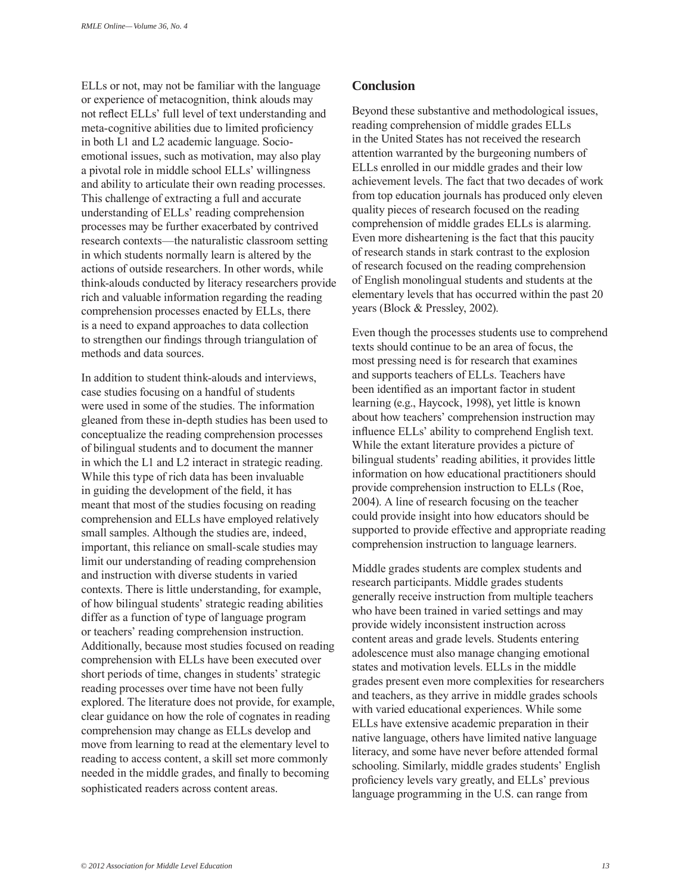ELLs or not, may not be familiar with the language or experience of metacognition, think alouds may not reflect ELLs' full level of text understanding and meta-cognitive abilities due to limited proficiency in both L1 and L2 academic language. Socioemotional issues, such as motivation, may also play a pivotal role in middle school ELLs' willingness and ability to articulate their own reading processes. This challenge of extracting a full and accurate understanding of ELLs' reading comprehension processes may be further exacerbated by contrived research contexts—the naturalistic classroom setting in which students normally learn is altered by the actions of outside researchers. In other words, while think-alouds conducted by literacy researchers provide rich and valuable information regarding the reading comprehension processes enacted by ELLs, there is a need to expand approaches to data collection to strengthen our findings through triangulation of methods and data sources.

In addition to student think-alouds and interviews, case studies focusing on a handful of students were used in some of the studies. The information gleaned from these in-depth studies has been used to conceptualize the reading comprehension processes of bilingual students and to document the manner in which the L1 and L2 interact in strategic reading. While this type of rich data has been invaluable in guiding the development of the field, it has meant that most of the studies focusing on reading comprehension and ELLs have employed relatively small samples. Although the studies are, indeed, important, this reliance on small-scale studies may limit our understanding of reading comprehension and instruction with diverse students in varied contexts. There is little understanding, for example, of how bilingual students' strategic reading abilities differ as a function of type of language program or teachers' reading comprehension instruction. Additionally, because most studies focused on reading comprehension with ELLs have been executed over short periods of time, changes in students' strategic reading processes over time have not been fully explored. The literature does not provide, for example, clear guidance on how the role of cognates in reading comprehension may change as ELLs develop and move from learning to read at the elementary level to reading to access content, a skill set more commonly needed in the middle grades, and finally to becoming sophisticated readers across content areas.

#### **Conclusion**

Beyond these substantive and methodological issues, reading comprehension of middle grades ELLs in the United States has not received the research attention warranted by the burgeoning numbers of ELLs enrolled in our middle grades and their low achievement levels. The fact that two decades of work from top education journals has produced only eleven quality pieces of research focused on the reading comprehension of middle grades ELLs is alarming. Even more disheartening is the fact that this paucity of research stands in stark contrast to the explosion of research focused on the reading comprehension of English monolingual students and students at the elementary levels that has occurred within the past 20 years (Block & Pressley, 2002).

Even though the processes students use to comprehend texts should continue to be an area of focus, the most pressing need is for research that examines and supports teachers of ELLs. Teachers have been identified as an important factor in student learning (e.g., Haycock, 1998), yet little is known about how teachers' comprehension instruction may influence ELLs' ability to comprehend English text. While the extant literature provides a picture of bilingual students' reading abilities, it provides little information on how educational practitioners should provide comprehension instruction to ELLs (Roe, 2004). A line of research focusing on the teacher could provide insight into how educators should be supported to provide effective and appropriate reading comprehension instruction to language learners.

Middle grades students are complex students and research participants. Middle grades students generally receive instruction from multiple teachers who have been trained in varied settings and may provide widely inconsistent instruction across content areas and grade levels. Students entering adolescence must also manage changing emotional states and motivation levels. ELLs in the middle grades present even more complexities for researchers and teachers, as they arrive in middle grades schools with varied educational experiences. While some ELLs have extensive academic preparation in their native language, others have limited native language literacy, and some have never before attended formal schooling. Similarly, middle grades students' English proficiency levels vary greatly, and ELLs' previous language programming in the U.S. can range from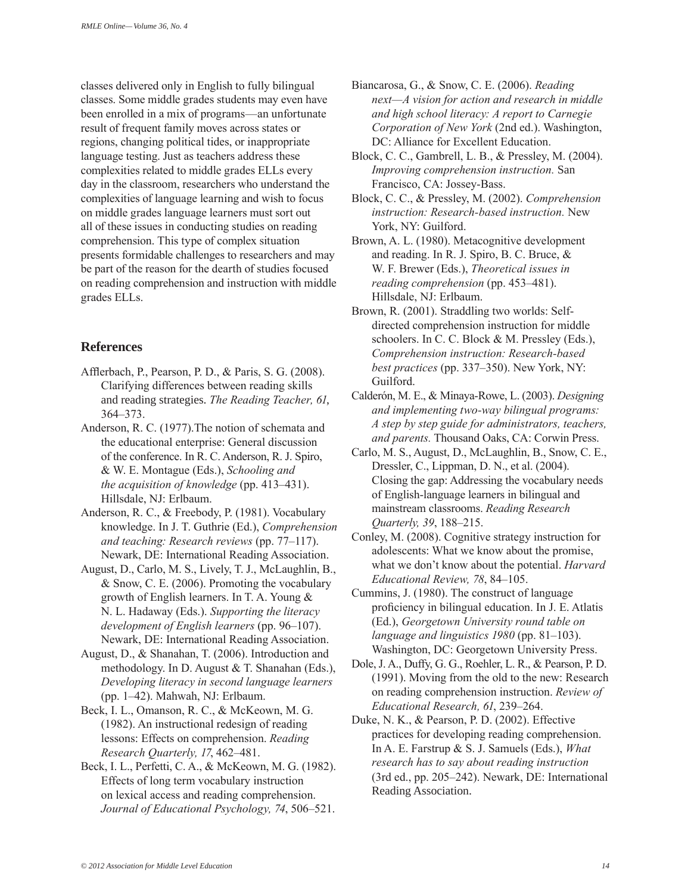classes delivered only in English to fully bilingual classes. Some middle grades students may even have been enrolled in a mix of programs—an unfortunate result of frequent family moves across states or regions, changing political tides, or inappropriate language testing. Just as teachers address these complexities related to middle grades ELLs every day in the classroom, researchers who understand the complexities of language learning and wish to focus on middle grades language learners must sort out all of these issues in conducting studies on reading comprehension. This type of complex situation presents formidable challenges to researchers and may be part of the reason for the dearth of studies focused on reading comprehension and instruction with middle grades ELLs.

## **References**

- Afflerbach, P., Pearson, P. D., & Paris, S. G. (2008). Clarifying differences between reading skills and reading strategies. *The Reading Teacher, 61*, 364–373.
- Anderson, R. C. (1977).The notion of schemata and the educational enterprise: General discussion of the conference. In R. C. Anderson, R. J. Spiro, & W. E. Montague (Eds.), *Schooling and the acquisition of knowledge* (pp. 413–431). Hillsdale, NJ: Erlbaum.
- Anderson, R. C., & Freebody, P. (1981). Vocabulary knowledge. In J. T. Guthrie (Ed.), *Comprehension and teaching: Research reviews* (pp. 77–117). Newark, DE: International Reading Association.
- August, D., Carlo, M. S., Lively, T. J., McLaughlin, B., & Snow, C. E. (2006). Promoting the vocabulary growth of English learners. In T. A. Young & N. L. Hadaway (Eds.). *Supporting the literacy development of English learners* (pp. 96–107). Newark, DE: International Reading Association.
- August, D., & Shanahan, T. (2006). Introduction and methodology. In D. August & T. Shanahan (Eds.), *Developing literacy in second language learners* (pp. 1–42). Mahwah, NJ: Erlbaum.
- Beck, I. L., Omanson, R. C., & McKeown, M. G. (1982). An instructional redesign of reading lessons: Effects on comprehension. *Reading Research Quarterly, 17*, 462–481.
- Beck, I. L., Perfetti, C. A., & McKeown, M. G. (1982). Effects of long term vocabulary instruction on lexical access and reading comprehension. *Journal of Educational Psychology, 74*, 506–521.
- Biancarosa, G., & Snow, C. E. (2006). *Reading next—A vision for action and research in middle and high school literacy: A report to Carnegie Corporation of New York* (2nd ed.). Washington, DC: Alliance for Excellent Education.
- Block, C. C., Gambrell, L. B., & Pressley, M. (2004). *Improving comprehension instruction.* San Francisco, CA: Jossey-Bass.
- Block, C. C., & Pressley, M. (2002). *Comprehension instruction: Research-based instruction.* New York, NY: Guilford.
- Brown, A. L. (1980). Metacognitive development and reading. In R. J. Spiro, B. C. Bruce, & W. F. Brewer (Eds.), *Theoretical issues in reading comprehension* (pp. 453–481). Hillsdale, NJ: Erlbaum.
- Brown, R. (2001). Straddling two worlds: Selfdirected comprehension instruction for middle schoolers. In C. C. Block & M. Pressley (Eds.), *Comprehension instruction: Research-based best practices* (pp. 337–350). New York, NY: Guilford.
- Calderón, M. E., & Minaya-Rowe, L. (2003). *Designing and implementing two-way bilingual programs: A step by step guide for administrators, teachers, and parents.* Thousand Oaks, CA: Corwin Press.
- Carlo, M. S., August, D., McLaughlin, B., Snow, C. E., Dressler, C., Lippman, D. N., et al. (2004). Closing the gap: Addressing the vocabulary needs of English-language learners in bilingual and mainstream classrooms. *Reading Research Quarterly, 39*, 188–215.
- Conley, M. (2008). Cognitive strategy instruction for adolescents: What we know about the promise, what we don't know about the potential. *Harvard Educational Review, 78*, 84–105.
- Cummins, J. (1980). The construct of language proficiency in bilingual education. In J. E. Atlatis (Ed.), *Georgetown University round table on language and linguistics 1980* (pp. 81–103). Washington, DC: Georgetown University Press.
- Dole, J. A., Duffy, G. G., Roehler, L. R., & Pearson, P. D. (1991). Moving from the old to the new: Research on reading comprehension instruction. *Review of Educational Research, 61*, 239–264.
- Duke, N. K., & Pearson, P. D. (2002). Effective practices for developing reading comprehension. In A. E. Farstrup & S. J. Samuels (Eds.), *What research has to say about reading instruction*  (3rd ed., pp. 205–242). Newark, DE: International Reading Association.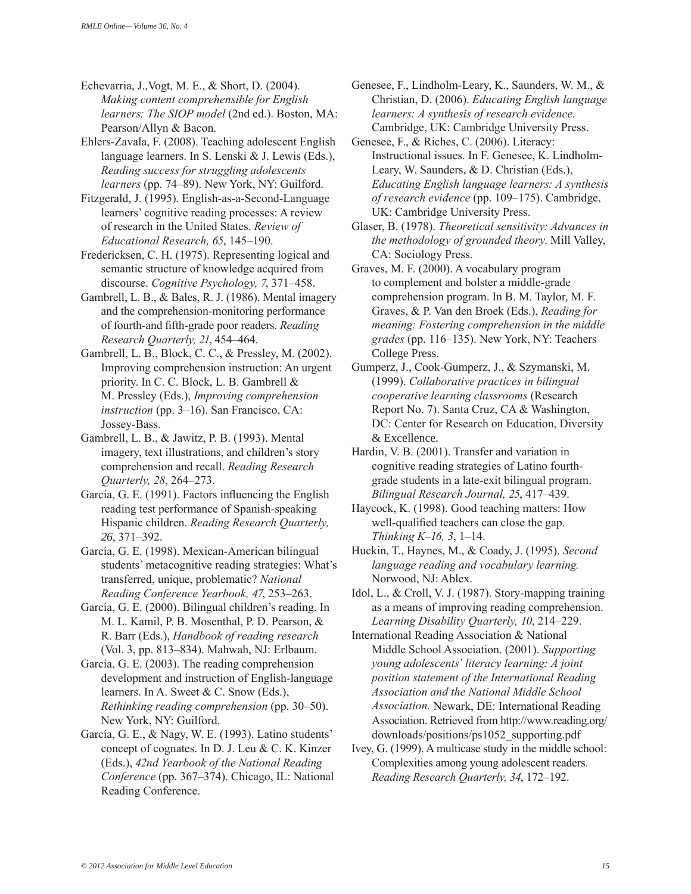Echevarria, J.,Vogt, M. E., & Short, D. (2004). *Making content comprehensible for English learners: The SIOP model* (2nd ed.). Boston, MA: Pearson/Allyn & Bacon.

Ehlers-Zavala, F. (2008). Teaching adolescent English language learners. In S. Lenski & J. Lewis (Eds.), *Reading success for struggling adolescents learners* (pp. 74–89). New York, NY: Guilford.

Fitzgerald, J. (1995). English-as-a-Second-Language learners' cognitive reading processes: A review of research in the United States. *Review of Educational Research, 65*, 145–190.

Fredericksen, C. H. (1975). Representing logical and semantic structure of knowledge acquired from discourse. *Cognitive Psychology, 7*, 371–458.

Gambrell, L. B., & Bales, R. J. (1986). Mental imagery and the comprehension-monitoring performance of fourth-and fifth-grade poor readers. *Reading Research Quarterly, 21*, 454–464.

Gambrell, L. B., Block, C. C., & Pressley, M. (2002). Improving comprehension instruction: An urgent priority. In C. C. Block, L. B. Gambrell & M. Pressley (Eds.), *Improving comprehension instruction* (pp. 3–16). San Francisco, CA: Jossey-Bass.

Gambrell, L. B., & Jawitz, P. B. (1993). Mental imagery, text illustrations, and children's story comprehension and recall. *Reading Research Quarterly, 28*, 264–273.

García, G. E. (1991). Factors influencing the English reading test performance of Spanish-speaking Hispanic children. *Reading Research Quarterly, 26*, 371–392.

García, G. E. (1998). Mexican-American bilingual students' metacognitive reading strategies: What's transferred, unique, problematic? *National Reading Conference Yearbook, 47*, 253–263.

García, G. E. (2000). Bilingual children's reading. In M. L. Kamil, P. B. Mosenthal, P. D. Pearson, & R. Barr (Eds.), *Handbook of reading research* (Vol. 3, pp. 813–834). Mahwah, NJ: Erlbaum.

García, G. E. (2003). The reading comprehension development and instruction of English-language learners. In A. Sweet & C. Snow (Eds.), *Rethinking reading comprehension* (pp. 30–50). New York, NY: Guilford.

García, G. E., & Nagy, W. E. (1993). Latino students' concept of cognates. In D. J. Leu & C. K. Kinzer (Eds.), *42nd Yearbook of the National Reading Conference* (pp. 367–374). Chicago, IL: National Reading Conference.

Genesee, F., Lindholm-Leary, K., Saunders, W. M., & Christian, D. (2006). *Educating English language learners: A synthesis of research evidence.* Cambridge, UK: Cambridge University Press.

Genesee, F., & Riches, C. (2006). Literacy: Instructional issues. In F. Genesee, K. Lindholm-Leary, W. Saunders, & D. Christian (Eds.), *Educating English language learners: A synthesis of research evidence* (pp. 109–175). Cambridge, UK: Cambridge University Press.

Glaser, B. (1978). *Theoretical sensitivity: Advances in the methodology of grounded theory*. Mill Valley, CA: Sociology Press.

Graves, M. F. (2000). A vocabulary program to complement and bolster a middle-grade comprehension program. In B. M. Taylor, M. F. Graves, & P. Van den Broek (Eds.), *Reading for meaning: Fostering comprehension in the middle grades* (pp. 116–135). New York, NY: Teachers College Press.

Gumperz, J., Cook-Gumperz, J., & Szymanski, M. (1999). *Collaborative practices in bilingual cooperative learning classrooms* (Research Report No. 7). Santa Cruz, CA & Washington, DC: Center for Research on Education, Diversity & Excellence.

Hardin, V. B. (2001). Transfer and variation in cognitive reading strategies of Latino fourthgrade students in a late-exit bilingual program. *Bilingual Research Journal, 25*, 417–439.

Haycock, K. (1998). Good teaching matters: How well-qualified teachers can close the gap. *Thinking K–16, 3*, 1–14.

Huckin, T., Haynes, M., & Coady, J. (1995). *Second language reading and vocabulary learning.* Norwood, NJ: Ablex.

Idol, L., & Croll, V. J. (1987). Story-mapping training as a means of improving reading comprehension. *Learning Disability Quarterly, 10*, 214–229.

International Reading Association & National Middle School Association. (2001). *Supporting young adolescents' literacy learning: A joint position statement of the International Reading Association and the National Middle School Association.* Newark, DE: International Reading Association. Retrieved from http://www.reading.org/ downloads/positions/ps1052\_supporting.pdf

Ivey, G. (1999). A multicase study in the middle school: Complexities among young adolescent readers. *Reading Research Quarterly, 34*, 172–192.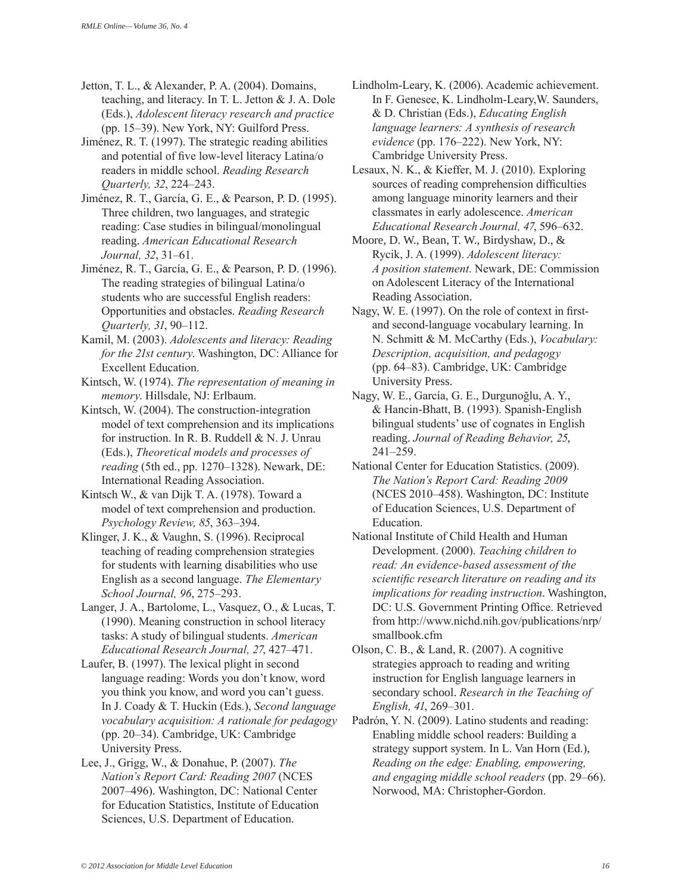Jetton, T. L., & Alexander, P. A. (2004). Domains, teaching, and literacy. In T. L. Jetton & J. A. Dole (Eds.), *Adolescent literacy research and practice* (pp. 15–39). New York, NY: Guilford Press.

Jiménez, R. T. (1997). The strategic reading abilities and potential of five low-level literacy Latina/o readers in middle school. *Reading Research Quarterly, 32*, 224–243.

Jiménez, R. T., García, G. E., & Pearson, P. D. (1995). Three children, two languages, and strategic reading: Case studies in bilingual/monolingual reading. *American Educational Research Journal, 32*, 31–61.

Jiménez, R. T., García, G. E., & Pearson, P. D. (1996). The reading strategies of bilingual Latina/o students who are successful English readers: Opportunities and obstacles. *Reading Research Quarterly, 31*, 90–112.

Kamil, M. (2003). *Adolescents and literacy: Reading for the 21st century*. Washington, DC: Alliance for Excellent Education.

Kintsch, W. (1974). *The representation of meaning in memory*. Hillsdale, NJ: Erlbaum.

Kintsch, W. (2004). The construction-integration model of text comprehension and its implications for instruction. In R. B. Ruddell & N. J. Unrau (Eds.), *Theoretical models and processes of reading* (5th ed., pp. 1270–1328). Newark, DE: International Reading Association.

Kintsch W., & van Dijk T. A. (1978). Toward a model of text comprehension and production. *Psychology Review, 85*, 363–394.

Klinger, J. K., & Vaughn, S. (1996). Reciprocal teaching of reading comprehension strategies for students with learning disabilities who use English as a second language. *The Elementary School Journal, 96*, 275–293.

Langer, J. A., Bartolome, L., Vasquez, O., & Lucas, T. (1990). Meaning construction in school literacy tasks: A study of bilingual students. *American Educational Research Journal, 27*, 427–471.

Laufer, B. (1997). The lexical plight in second language reading: Words you don't know, word you think you know, and word you can't guess. In J. Coady & T. Huckin (Eds.), *Second language vocabulary acquisition: A rationale for pedagogy*  (pp. 20–34). Cambridge, UK: Cambridge University Press.

Lee, J., Grigg, W., & Donahue, P. (2007). *The Nation's Report Card: Reading 2007* (NCES 2007–496). Washington, DC: National Center for Education Statistics, Institute of Education Sciences, U.S. Department of Education.

Lindholm-Leary, K. (2006). Academic achievement. In F. Genesee, K. Lindholm-Leary,W. Saunders, & D. Christian (Eds.), *Educating English language learners: A synthesis of research evidence* (pp. 176–222). New York, NY: Cambridge University Press.

Lesaux, N. K., & Kieffer, M. J. (2010). Exploring sources of reading comprehension difficulties among language minority learners and their classmates in early adolescence. *American Educational Research Journal, 47*, 596–632.

Moore, D. W., Bean, T. W., Birdyshaw, D., & Rycik, J. A. (1999). *Adolescent literacy: A position statement*. Newark, DE: Commission on Adolescent Literacy of the International Reading Association.

Nagy, W. E. (1997). On the role of context in firstand second-language vocabulary learning. In N. Schmitt & M. McCarthy (Eds.), *Vocabulary: Description, acquisition, and pedagogy* (pp. 64–83). Cambridge, UK: Cambridge University Press.

Nagy, W. E., García, G. E., Durgunoğlu, A. Y., & Hancin-Bhatt, B. (1993). Spanish-English bilingual students' use of cognates in English reading. *Journal of Reading Behavior, 25*, 241–259.

National Center for Education Statistics. (2009). *The Nation's Report Card: Reading 2009* (NCES 2010–458). Washington, DC: Institute of Education Sciences, U.S. Department of Education.

National Institute of Child Health and Human Development. (2000). *Teaching children to read: An evidence-based assessment of the scientific research literature on reading and its implications for reading instruction*. Washington, DC: U.S. Government Printing Office. Retrieved from http://www.nichd.nih.gov/publications/nrp/ smallbook.cfm

Olson, C. B., & Land, R. (2007). A cognitive strategies approach to reading and writing instruction for English language learners in secondary school. *Research in the Teaching of English, 41*, 269–301.

Padrón, Y. N. (2009). Latino students and reading: Enabling middle school readers: Building a strategy support system. In L. Van Horn (Ed.), *Reading on the edge: Enabling, empowering, and engaging middle school readers* (pp. 29–66). Norwood, MA: Christopher-Gordon.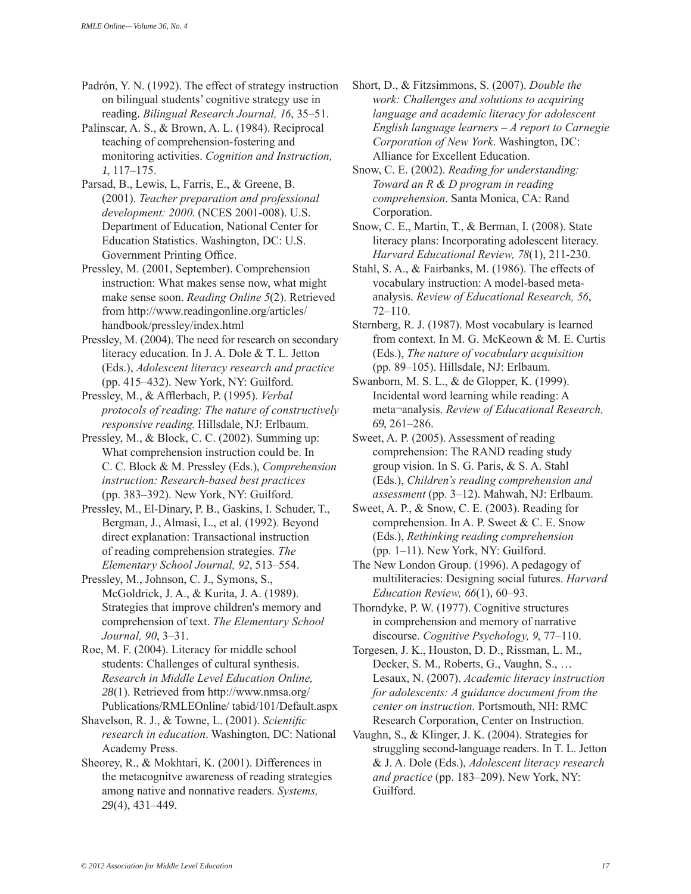Padrón, Y. N. (1992). The effect of strategy instruction on bilingual students' cognitive strategy use in reading. *Bilingual Research Journal, 16*, 35–51.

Palinscar, A. S., & Brown, A. L. (1984). Reciprocal teaching of comprehension-fostering and monitoring activities. *Cognition and Instruction, 1*, 117–175.

Parsad, B., Lewis, L, Farris, E., & Greene, B. (2001). *Teacher preparation and professional development: 2000*. (NCES 2001-008). U.S. Department of Education, National Center for Education Statistics. Washington, DC: U.S. Government Printing Office.

Pressley, M. (2001, September). Comprehension instruction: What makes sense now, what might make sense soon. *Reading Online 5*(2). Retrieved from http://www.readingonline.org/articles/ handbook/pressley/index.html

Pressley, M. (2004). The need for research on secondary literacy education. In J. A. Dole & T. L. Jetton (Eds.), *Adolescent literacy research and practice* (pp. 415–432). New York, NY: Guilford.

Pressley, M., & Afflerbach, P. (1995). *Verbal protocols of reading: The nature of constructively responsive reading*. Hillsdale, NJ: Erlbaum.

Pressley, M., & Block, C. C. (2002). Summing up: What comprehension instruction could be. In C. C. Block & M. Pressley (Eds.), *Comprehension instruction: Research-based best practices* (pp. 383–392). New York, NY: Guilford.

Pressley, M., El-Dinary, P. B., Gaskins, I. Schuder, T., Bergman, J., Almasi, L., et al. (1992). Beyond direct explanation: Transactional instruction of reading comprehension strategies. *The Elementary School Journal, 92*, 513–554.

Pressley, M., Johnson, C. J., Symons, S., McGoldrick, J. A., & Kurita, J. A. (1989). Strategies that improve children's memory and comprehension of text. *The Elementary School Journal, 90*, 3–31.

Roe, M. F. (2004). Literacy for middle school students: Challenges of cultural synthesis. *Research in Middle Level Education Online, 28*(1). Retrieved from http://www.nmsa.org/ Publications/RMLEOnline/ tabid/101/Default.aspx

Shavelson, R. J., & Towne, L. (2001). *Scientific research in education*. Washington, DC: National Academy Press.

Sheorey, R., & Mokhtari, K. (2001). Differences in the metacognitve awareness of reading strategies among native and nonnative readers. *Systems, 29*(4), 431–449.

Short, D., & Fitzsimmons, S. (2007). *Double the work: Challenges and solutions to acquiring language and academic literacy for adolescent English language learners – A report to Carnegie Corporation of New York*. Washington, DC: Alliance for Excellent Education.

Snow, C. E. (2002). *Reading for understanding: Toward an R & D program in reading comprehension*. Santa Monica, CA: Rand Corporation.

Snow, C. E., Martin, T., & Berman, I. (2008). State literacy plans: Incorporating adolescent literacy. *Harvard Educational Review, 78*(1), 211-230.

Stahl, S. A., & Fairbanks, M. (1986). The effects of vocabulary instruction: A model-based metaanalysis. *Review of Educational Research, 56*, 72–110.

Sternberg, R. J. (1987). Most vocabulary is learned from context. In M. G. McKeown & M. E. Curtis (Eds.), *The nature of vocabulary acquisition* (pp. 89–105). Hillsdale, NJ: Erlbaum.

Swanborn, M. S. L., & de Glopper, K. (1999). Incidental word learning while reading: A meta¬analysis. *Review of Educational Research, 69*, 261–286.

Sweet, A. P. (2005). Assessment of reading comprehension: The RAND reading study group vision. In S. G. Paris, & S. A. Stahl (Eds.), *Children's reading comprehension and assessment* (pp. 3–12). Mahwah, NJ: Erlbaum.

Sweet, A. P., & Snow, C. E. (2003). Reading for comprehension. In A. P. Sweet & C. E. Snow (Eds.), *Rethinking reading comprehension* (pp. 1–11). New York, NY: Guilford.

The New London Group. (1996). A pedagogy of multiliteracies: Designing social futures. *Harvard Education Review, 66*(1), 60–93.

Thorndyke, P. W. (1977). Cognitive structures in comprehension and memory of narrative discourse. *Cognitive Psychology, 9*, 77–110.

Torgesen, J. K., Houston, D. D., Rissman, L. M., Decker, S. M., Roberts, G., Vaughn, S., … Lesaux, N. (2007). *Academic literacy instruction for adolescents: A guidance document from the center on instruction.* Portsmouth, NH: RMC Research Corporation, Center on Instruction.

Vaughn, S., & Klinger, J. K. (2004). Strategies for struggling second-language readers. In T. L. Jetton & J. A. Dole (Eds.), *Adolescent literacy research and practice* (pp. 183–209). New York, NY: Guilford.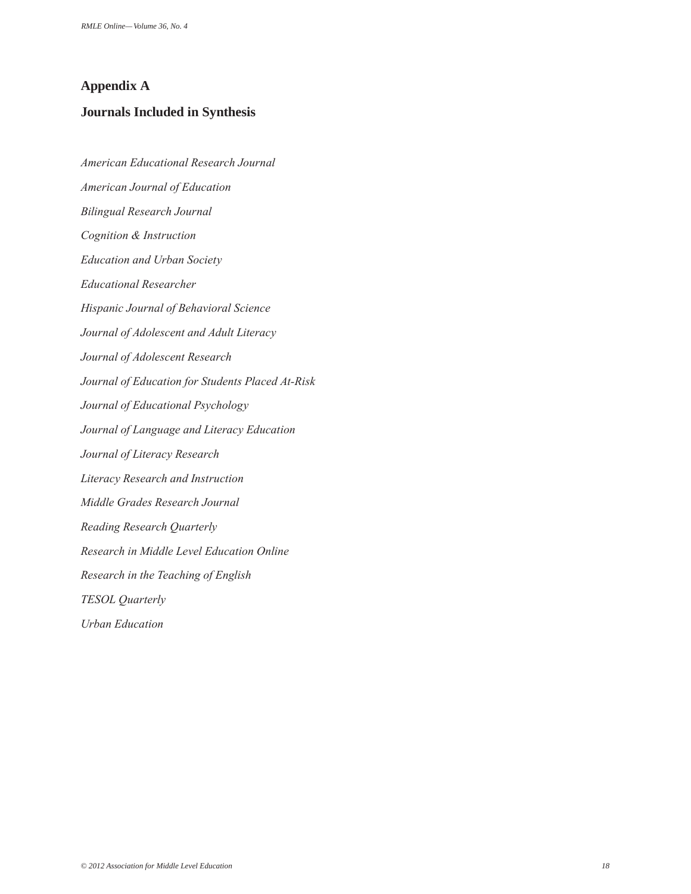# **Appendix A Journals Included in Synthesis**

*American Educational Research Journal American Journal of Education Bilingual Research Journal Cognition & Instruction Education and Urban Society Educational Researcher Hispanic Journal of Behavioral Science Journal of Adolescent and Adult Literacy Journal of Adolescent Research Journal of Education for Students Placed At-Risk Journal of Educational Psychology Journal of Language and Literacy Education Journal of Literacy Research Literacy Research and Instruction Middle Grades Research Journal Reading Research Quarterly Research in Middle Level Education Online Research in the Teaching of English TESOL Quarterly Urban Education*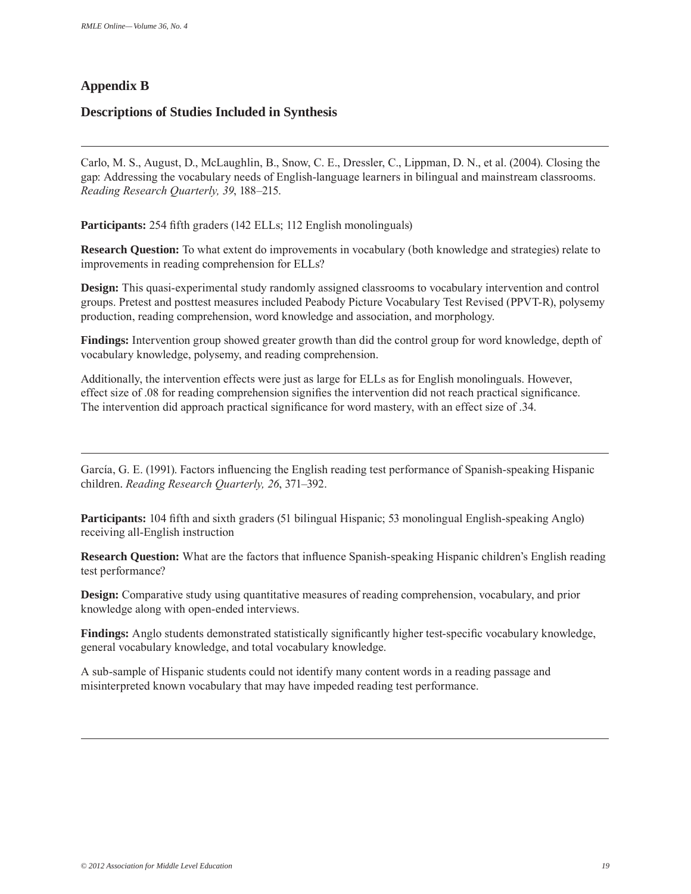# **Appendix B**

### **Descriptions of Studies Included in Synthesis**

Carlo, M. S., August, D., McLaughlin, B., Snow, C. E., Dressler, C., Lippman, D. N., et al. (2004). Closing the gap: Addressing the vocabulary needs of English-language learners in bilingual and mainstream classrooms. *Reading Research Quarterly, 39*, 188–215.

**Participants:** 254 fifth graders (142 ELLs; 112 English monolinguals)

**Research Question:** To what extent do improvements in vocabulary (both knowledge and strategies) relate to improvements in reading comprehension for ELLs?

**Design:** This quasi-experimental study randomly assigned classrooms to vocabulary intervention and control groups. Pretest and posttest measures included Peabody Picture Vocabulary Test Revised (PPVT-R), polysemy production, reading comprehension, word knowledge and association, and morphology.

**Findings:** Intervention group showed greater growth than did the control group for word knowledge, depth of vocabulary knowledge, polysemy, and reading comprehension.

Additionally, the intervention effects were just as large for ELLs as for English monolinguals. However, effect size of .08 for reading comprehension signifies the intervention did not reach practical significance. The intervention did approach practical significance for word mastery, with an effect size of .34.

García, G. E. (1991). Factors influencing the English reading test performance of Spanish-speaking Hispanic children. *Reading Research Quarterly, 26*, 371–392.

**Participants:** 104 fifth and sixth graders (51 bilingual Hispanic; 53 monolingual English-speaking Anglo) receiving all-English instruction

**Research Question:** What are the factors that influence Spanish-speaking Hispanic children's English reading test performance?

**Design:** Comparative study using quantitative measures of reading comprehension, vocabulary, and prior knowledge along with open-ended interviews.

**Findings:** Anglo students demonstrated statistically significantly higher test-specific vocabulary knowledge, general vocabulary knowledge, and total vocabulary knowledge.

A sub-sample of Hispanic students could not identify many content words in a reading passage and misinterpreted known vocabulary that may have impeded reading test performance.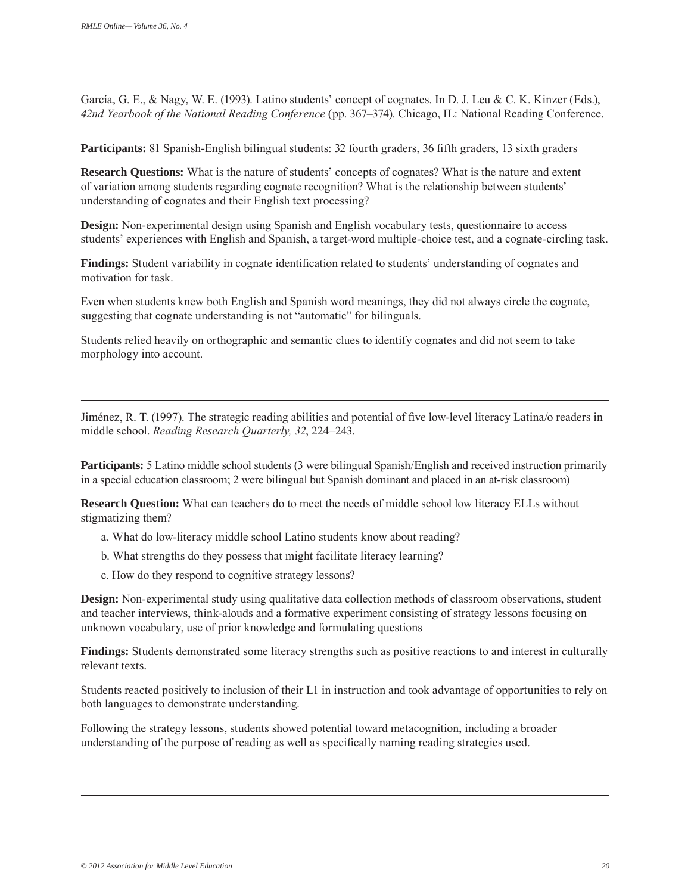García, G. E., & Nagy, W. E. (1993). Latino students' concept of cognates. In D. J. Leu & C. K. Kinzer (Eds.), *42nd Yearbook of the National Reading Conference* (pp. 367–374). Chicago, IL: National Reading Conference.

**Participants:** 81 Spanish-English bilingual students: 32 fourth graders, 36 fifth graders, 13 sixth graders

**Research Questions:** What is the nature of students' concepts of cognates? What is the nature and extent of variation among students regarding cognate recognition? What is the relationship between students' understanding of cognates and their English text processing?

**Design:** Non-experimental design using Spanish and English vocabulary tests, questionnaire to access students' experiences with English and Spanish, a target-word multiple-choice test, and a cognate-circling task.

**Findings:** Student variability in cognate identification related to students' understanding of cognates and motivation for task.

Even when students knew both English and Spanish word meanings, they did not always circle the cognate, suggesting that cognate understanding is not "automatic" for bilinguals.

Students relied heavily on orthographic and semantic clues to identify cognates and did not seem to take morphology into account.

Jiménez, R. T. (1997). The strategic reading abilities and potential of five low-level literacy Latina/o readers in middle school. *Reading Research Quarterly, 32*, 224–243.

**Participants:** 5 Latino middle school students (3 were bilingual Spanish/English and received instruction primarily in a special education classroom; 2 were bilingual but Spanish dominant and placed in an at-risk classroom)

**Research Question:** What can teachers do to meet the needs of middle school low literacy ELLs without stigmatizing them?

- a. What do low-literacy middle school Latino students know about reading?
- b. What strengths do they possess that might facilitate literacy learning?
- c. How do they respond to cognitive strategy lessons?

**Design:** Non-experimental study using qualitative data collection methods of classroom observations, student and teacher interviews, think-alouds and a formative experiment consisting of strategy lessons focusing on unknown vocabulary, use of prior knowledge and formulating questions

**Findings:** Students demonstrated some literacy strengths such as positive reactions to and interest in culturally relevant texts.

Students reacted positively to inclusion of their L1 in instruction and took advantage of opportunities to rely on both languages to demonstrate understanding.

Following the strategy lessons, students showed potential toward metacognition, including a broader understanding of the purpose of reading as well as specifically naming reading strategies used.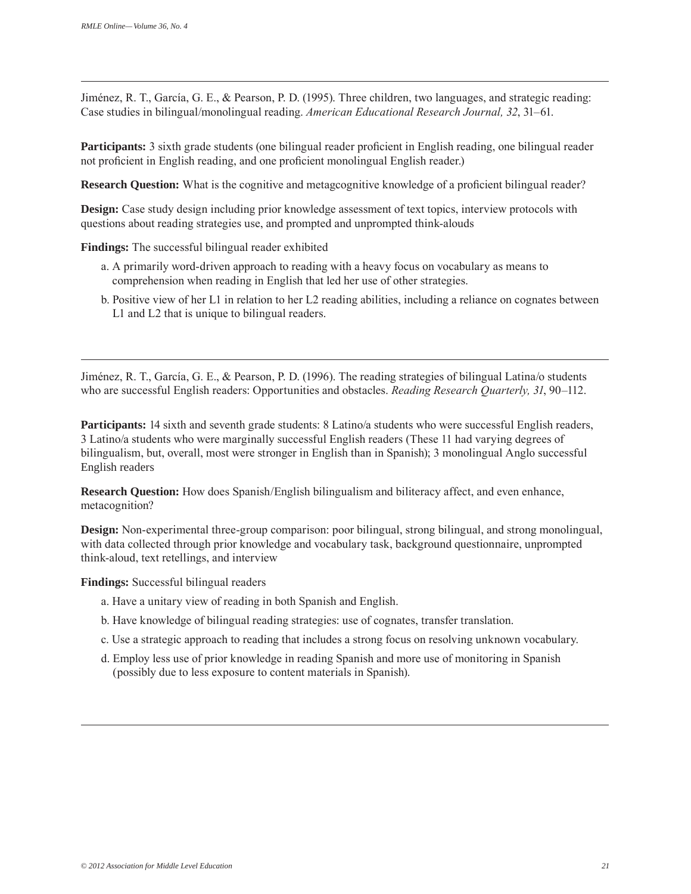Jiménez, R. T., García, G. E., & Pearson, P. D. (1995). Three children, two languages, and strategic reading: Case studies in bilingual/monolingual reading. *American Educational Research Journal, 32*, 31–61.

**Participants:** 3 sixth grade students (one bilingual reader proficient in English reading, one bilingual reader not proficient in English reading, and one proficient monolingual English reader.)

**Research Question:** What is the cognitive and metagcognitive knowledge of a proficient bilingual reader?

**Design:** Case study design including prior knowledge assessment of text topics, interview protocols with questions about reading strategies use, and prompted and unprompted think-alouds

**Findings:** The successful bilingual reader exhibited

- a. A primarily word-driven approach to reading with a heavy focus on vocabulary as means to comprehension when reading in English that led her use of other strategies.
- b. Positive view of her L1 in relation to her L2 reading abilities, including a reliance on cognates between L1 and L2 that is unique to bilingual readers.

Jiménez, R. T., García, G. E., & Pearson, P. D. (1996). The reading strategies of bilingual Latina/o students who are successful English readers: Opportunities and obstacles. *Reading Research Quarterly, 31*, 90–112.

**Participants:** 14 sixth and seventh grade students: 8 Latino/a students who were successful English readers, 3 Latino/a students who were marginally successful English readers (These 11 had varying degrees of bilingualism, but, overall, most were stronger in English than in Spanish); 3 monolingual Anglo successful English readers

**Research Question:** How does Spanish/English bilingualism and biliteracy affect, and even enhance, metacognition?

**Design:** Non-experimental three-group comparison: poor bilingual, strong bilingual, and strong monolingual, with data collected through prior knowledge and vocabulary task, background questionnaire, unprompted think-aloud, text retellings, and interview

**Findings:** Successful bilingual readers

- a. Have a unitary view of reading in both Spanish and English.
- b. Have knowledge of bilingual reading strategies: use of cognates, transfer translation.
- c. Use a strategic approach to reading that includes a strong focus on resolving unknown vocabulary.
- d. Employ less use of prior knowledge in reading Spanish and more use of monitoring in Spanish (possibly due to less exposure to content materials in Spanish).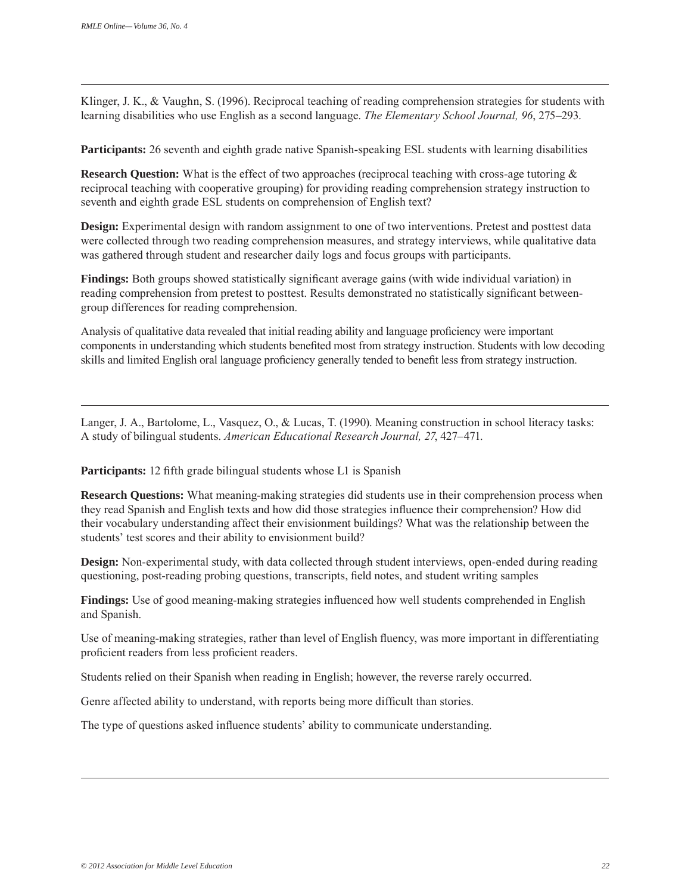Klinger, J. K., & Vaughn, S. (1996). Reciprocal teaching of reading comprehension strategies for students with learning disabilities who use English as a second language. *The Elementary School Journal, 96*, 275–293.

**Participants:** 26 seventh and eighth grade native Spanish-speaking ESL students with learning disabilities

**Research Question:** What is the effect of two approaches (reciprocal teaching with cross-age tutoring  $\&$ reciprocal teaching with cooperative grouping) for providing reading comprehension strategy instruction to seventh and eighth grade ESL students on comprehension of English text?

**Design:** Experimental design with random assignment to one of two interventions. Pretest and posttest data were collected through two reading comprehension measures, and strategy interviews, while qualitative data was gathered through student and researcher daily logs and focus groups with participants.

**Findings:** Both groups showed statistically significant average gains (with wide individual variation) in reading comprehension from pretest to posttest. Results demonstrated no statistically significant betweengroup differences for reading comprehension.

Analysis of qualitative data revealed that initial reading ability and language proficiency were important components in understanding which students benefited most from strategy instruction. Students with low decoding skills and limited English oral language proficiency generally tended to benefit less from strategy instruction.

Langer, J. A., Bartolome, L., Vasquez, O., & Lucas, T. (1990). Meaning construction in school literacy tasks: A study of bilingual students. *American Educational Research Journal, 27*, 427–471.

**Participants:** 12 fifth grade bilingual students whose L1 is Spanish

**Research Questions:** What meaning-making strategies did students use in their comprehension process when they read Spanish and English texts and how did those strategies influence their comprehension? How did their vocabulary understanding affect their envisionment buildings? What was the relationship between the students' test scores and their ability to envisionment build?

**Design:** Non-experimental study, with data collected through student interviews, open-ended during reading questioning, post-reading probing questions, transcripts, field notes, and student writing samples

**Findings:** Use of good meaning-making strategies influenced how well students comprehended in English and Spanish.

Use of meaning-making strategies, rather than level of English fluency, was more important in differentiating proficient readers from less proficient readers.

Students relied on their Spanish when reading in English; however, the reverse rarely occurred.

Genre affected ability to understand, with reports being more difficult than stories.

The type of questions asked influence students' ability to communicate understanding.